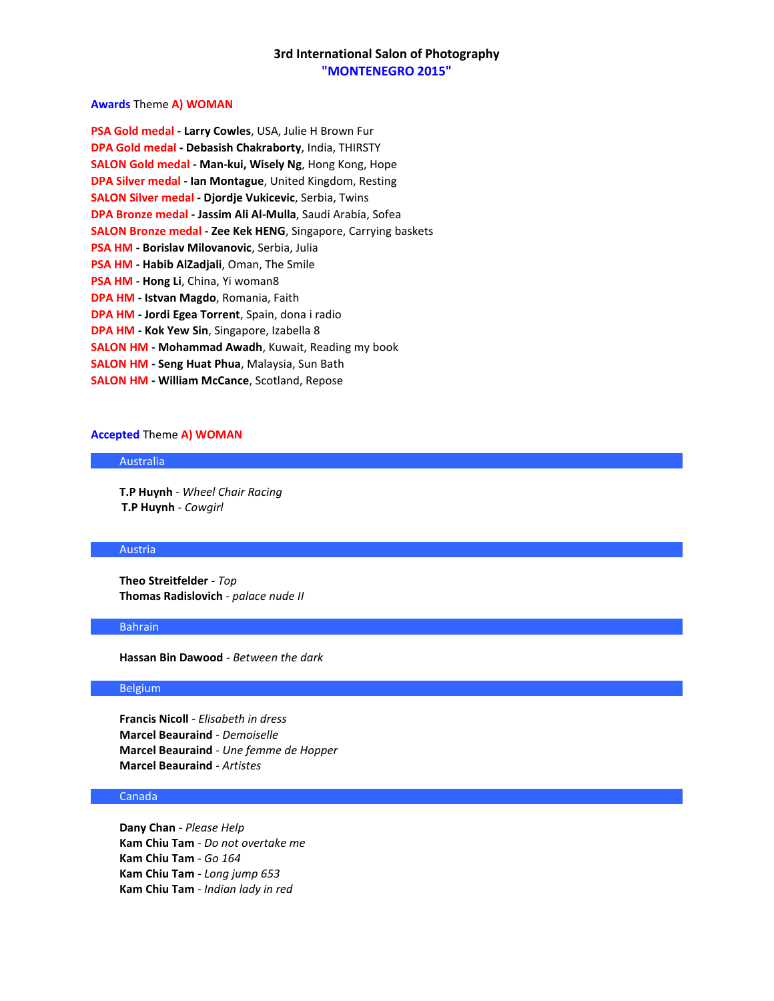### **Awards** Theme **A) WOMAN**

**PSA Gold medal - Larry Cowles**, USA, Julie H Brown Fur **DPA Gold medal - Debasish Chakraborty**, India, THIRSTY **SALON Gold medal - Man-kui, Wisely Ng**, Hong Kong, Hope **DPA Silver medal - Ian Montague**, United Kingdom, Resting **SALON Silver medal - Djordje Vukicevic**, Serbia, Twins **DPA Bronze medal - Jassim Ali Al-Mulla**, Saudi Arabia, Sofea **SALON Bronze medal - Zee Kek HENG**, Singapore, Carrying baskets **PSA HM - Borislav Milovanovic**, Serbia, Julia **PSA HM - Habib AlZadjali**, Oman, The Smile **PSA HM - Hong Li**, China, Yi woman8 **DPA HM - Istvan Magdo**, Romania, Faith **DPA HM - Jordi Egea Torrent**, Spain, dona i radio **DPA HM - Kok Yew Sin**, Singapore, Izabella 8 **SALON HM - Mohammad Awadh**, Kuwait, Reading my book **SALON HM - Seng Huat Phua**, Malaysia, Sun Bath **SALON HM - William McCance**, Scotland, Repose

#### **Accepted** Theme **A) WOMAN**

### Australia

**T.P Huynh** - *Wheel Chair Racing* **T.P Huynh** - *Cowgirl*

#### Austria

**Theo Streitfelder** - *Top* **Thomas Radislovich** - *palace nude II*

#### Bahrain

**Hassan Bin Dawood** - *Between the dark*

### Belgium

**Francis Nicoll** - *Elisabeth in dress* **Marcel Beauraind** - *Demoiselle* **Marcel Beauraind** - *Une femme de Hopper* **Marcel Beauraind** - *Artistes*

#### Canada

**Dany Chan** - *Please Help* **Kam Chiu Tam** - *Do not overtake me* **Kam Chiu Tam** - *Go 164* **Kam Chiu Tam** - *Long jump 653* **Kam Chiu Tam** - *Indian lady in red*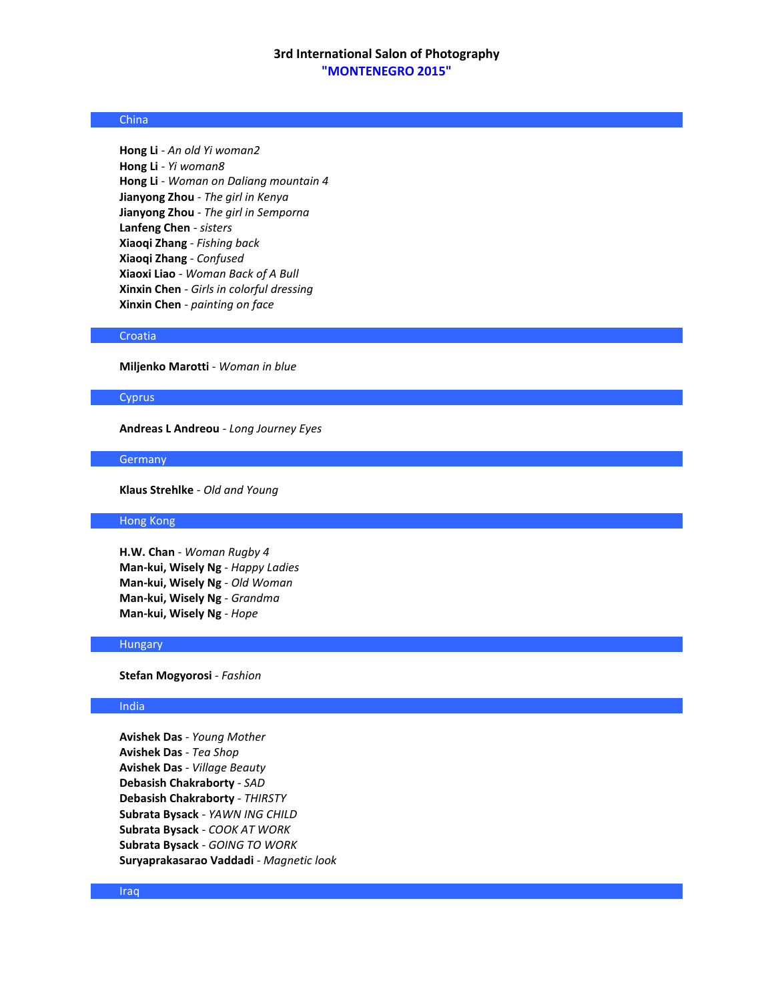# China

**Hong Li** - *An old Yi woman2* **Hong Li** - *Yi woman8* **Hong Li** - *Woman on Daliang mountain 4* **Jianyong Zhou** - *The girl in Kenya* **Jianyong Zhou** - *The girl in Semporna* **Lanfeng Chen** - *sisters* **Xiaoqi Zhang** - *Fishing back* **Xiaoqi Zhang** - *Confused* **Xiaoxi Liao** - *Woman Back of A Bull* **Xinxin Chen** - *Girls in colorful dressing* **Xinxin Chen** - *painting on face*

#### Croatia

**Miljenko Marotti** - *Woman in blue*

#### **Cyprus**

**Andreas L Andreou** - *Long Journey Eyes*

#### **Germany**

**Klaus Strehlke** - *Old and Young*

# Hong Kong

**H.W. Chan** - *Woman Rugby 4* **Man-kui, Wisely Ng** - *Happy Ladies* **Man-kui, Wisely Ng** - *Old Woman* **Man-kui, Wisely Ng** - *Grandma* **Man-kui, Wisely Ng** - *Hope*

#### Hungary

**Stefan Mogyorosi** - *Fashion*

### India

**Avishek Das** - *Young Mother* **Avishek Das** - *Tea Shop* **Avishek Das** - *Village Beauty* **Debasish Chakraborty** - *SAD* **Debasish Chakraborty** - *THIRSTY* **Subrata Bysack** - *YAWN ING CHILD* **Subrata Bysack** - *COOK AT WORK* **Subrata Bysack** - *GOING TO WORK* **Suryaprakasarao Vaddadi** - *Magnetic look*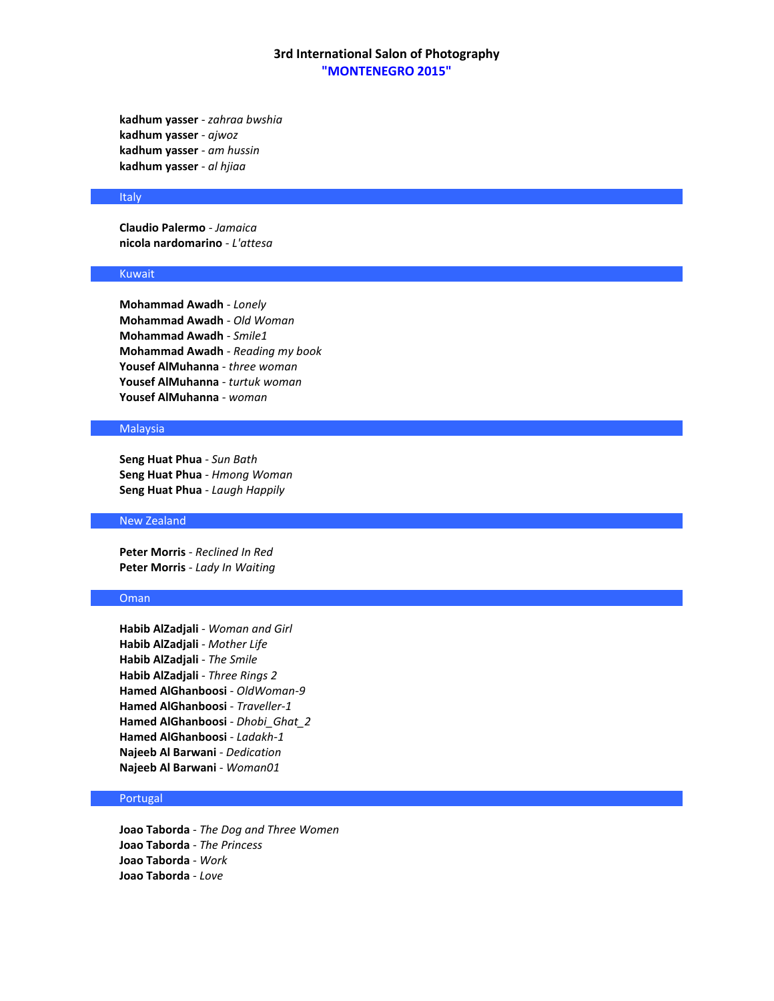**kadhum yasser** - *zahraa bwshia* **kadhum yasser** - *ajwoz* **kadhum yasser** - *am hussin* **kadhum yasser** - *al hjiaa*

#### **Italy**

**Claudio Palermo** - *Jamaica* **nicola nardomarino** - *L'attesa*

# Kuwait

**Mohammad Awadh** - *Lonely* **Mohammad Awadh** - *Old Woman* **Mohammad Awadh** - *Smile1* **Mohammad Awadh** - *Reading my book* **Yousef AlMuhanna** - *three woman* **Yousef AlMuhanna** - *turtuk woman* **Yousef AlMuhanna** - *woman*

# **Malaysia**

**Seng Huat Phua** - *Sun Bath* **Seng Huat Phua** - *Hmong Woman* **Seng Huat Phua** - *Laugh Happily*

# New Zealand

**Peter Morris** - *Reclined In Red* **Peter Morris** - *Lady In Waiting*

# Oman

**Habib AlZadjali** - *Woman and Girl* **Habib AlZadjali** - *Mother Life* **Habib AlZadjali** - *The Smile* **Habib AlZadjali** - *Three Rings 2* **Hamed AlGhanboosi** - *OldWoman-9* **Hamed AlGhanboosi** - *Traveller-1* **Hamed AlGhanboosi** - *Dhobi\_Ghat\_2* **Hamed AlGhanboosi** - *Ladakh-1* **Najeeb Al Barwani** - *Dedication* **Najeeb Al Barwani** - *Woman01*

# Portugal

**Joao Taborda** - *The Dog and Three Women* **Joao Taborda** - *The Princess* **Joao Taborda** - *Work* **Joao Taborda** - *Love*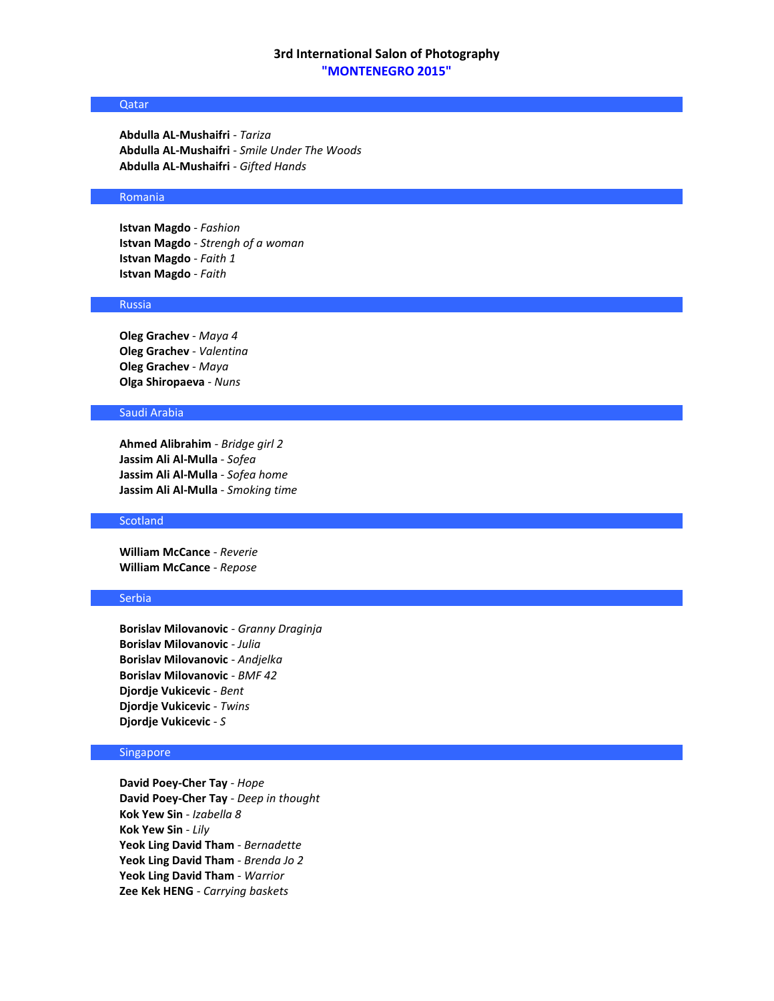### Qatar

**Abdulla AL-Mushaifri** - *Tariza* **Abdulla AL-Mushaifri** - *Smile Under The Woods* **Abdulla AL-Mushaifri** - *Gifted Hands*

#### Romania

**Istvan Magdo** - *Fashion* **Istvan Magdo** - *Strengh of a woman* **Istvan Magdo** - *Faith 1* **Istvan Magdo** - *Faith*

## Russia

**Oleg Grachev** - *Maya 4* **Oleg Grachev** - *Valentina* **Oleg Grachev** - *Maya* **Olga Shiropaeva** - *Nuns*

### Saudi Arabia

**Ahmed Alibrahim** - *Bridge girl 2* **Jassim Ali Al-Mulla** - *Sofea* **Jassim Ali Al-Mulla** - *Sofea home* **Jassim Ali Al-Mulla** - *Smoking time*

### **Scotland**

**William McCance** - *Reverie* **William McCance** - *Repose*

# Serbia

**Borislav Milovanovic** - *Granny Draginja* **Borislav Milovanovic** - *Julia* **Borislav Milovanovic** - *Andjelka* **Borislav Milovanovic** - *BMF 42* **Djordje Vukicevic** - *Bent* **Djordje Vukicevic** - *Twins* **Djordje Vukicevic** - *S*

# Singapore

**David Poey-Cher Tay** - *Hope* **David Poey-Cher Tay** - *Deep in thought* **Kok Yew Sin** - *Izabella 8* **Kok Yew Sin** - *Lily* **Yeok Ling David Tham** - *Bernadette* **Yeok Ling David Tham** - *Brenda Jo 2* **Yeok Ling David Tham** - *Warrior* **Zee Kek HENG** - *Carrying baskets*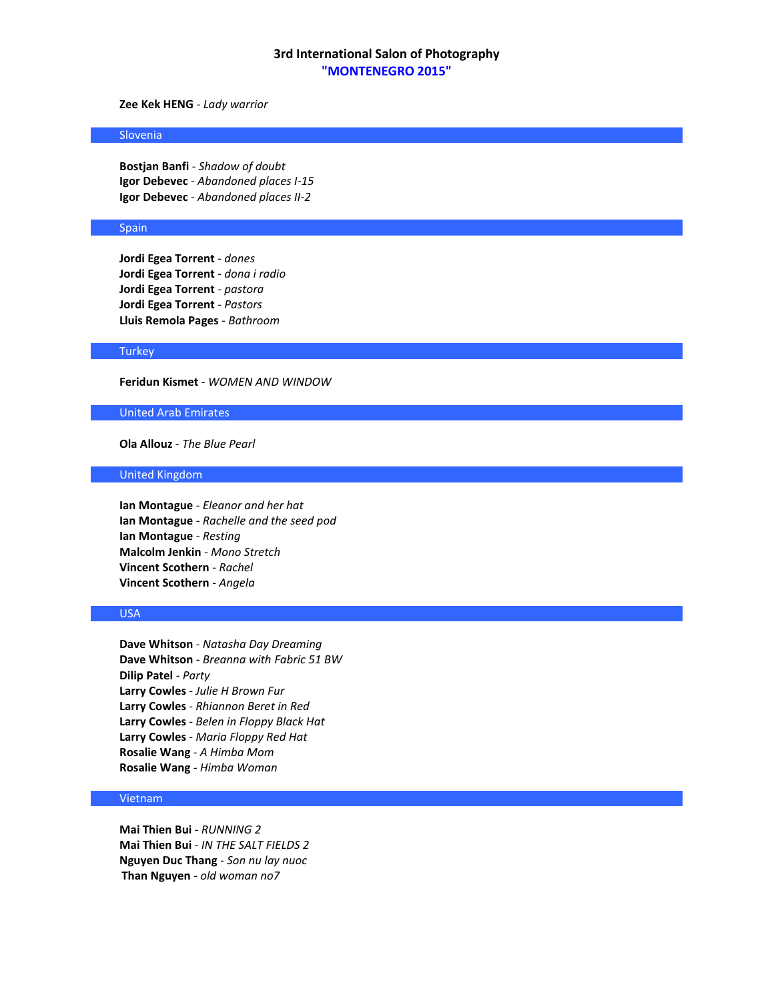# **Zee Kek HENG** - *Lady warrior*

#### Slovenia

**Bostjan Banfi** - *Shadow of doubt* **Igor Debevec** - *Abandoned places I-15* **Igor Debevec** - *Abandoned places II-2*

### Spain

**Jordi Egea Torrent** - *dones* **Jordi Egea Torrent** - *dona i radio* **Jordi Egea Torrent** - *pastora* **Jordi Egea Torrent** - *Pastors* **Lluis Remola Pages** - *Bathroom*

### **Turkey**

**Feridun Kismet** - *WOMEN AND WINDOW*

### United Arab Emirates

**Ola Allouz** - *The Blue Pearl*

### United Kingdom

**Ian Montague** - *Eleanor and her hat* **Ian Montague** - *Rachelle and the seed pod* **Ian Montague** - *Resting* **Malcolm Jenkin** - *Mono Stretch* **Vincent Scothern** - *Rachel* **Vincent Scothern** - *Angela*

# USA

**Dave Whitson** - *Natasha Day Dreaming* **Dave Whitson** - *Breanna with Fabric 51 BW* **Dilip Patel** - *Party* **Larry Cowles** - *Julie H Brown Fur* **Larry Cowles** - *Rhiannon Beret in Red* **Larry Cowles** - *Belen in Floppy Black Hat* **Larry Cowles** - *Maria Floppy Red Hat* **Rosalie Wang** - *A Himba Mom* **Rosalie Wang** - *Himba Woman*

# Vietnam

**Mai Thien Bui** - *RUNNING 2* **Mai Thien Bui** - *IN THE SALT FIELDS 2* **Nguyen Duc Thang** - *Son nu lay nuoc* **Than Nguyen** - *old woman no7*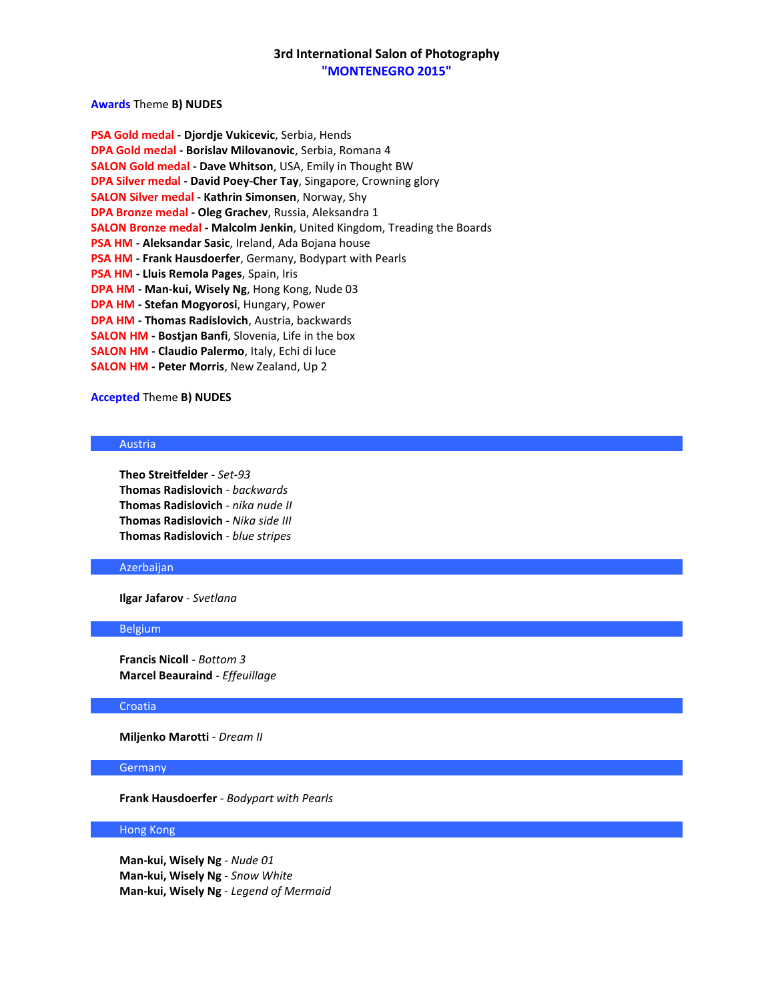# **Awards** Theme **B) NUDES**

| PSA Gold medal - Djordje Vukicevic, Serbia, Hends                                |
|----------------------------------------------------------------------------------|
| DPA Gold medal - Borislav Milovanovic, Serbia, Romana 4                          |
| <b>SALON Gold medal - Dave Whitson, USA, Emily in Thought BW</b>                 |
| <b>DPA Silver medal - David Poey-Cher Tay, Singapore, Crowning glory</b>         |
| <b>SALON Silver medal - Kathrin Simonsen, Norway, Shy</b>                        |
| DPA Bronze medal - Oleg Grachev, Russia, Aleksandra 1                            |
| <b>SALON Bronze medal - Malcolm Jenkin</b> , United Kingdom, Treading the Boards |
| <b>PSA HM - Aleksandar Sasic, Ireland, Ada Bojana house</b>                      |
| <b>PSA HM - Frank Hausdoerfer, Germany, Bodypart with Pearls</b>                 |
| PSA HM - Lluis Remola Pages, Spain, Iris                                         |
| DPA HM - Man-kui, Wisely Ng, Hong Kong, Nude 03                                  |
| <b>DPA HM - Stefan Mogyorosi</b> , Hungary, Power                                |
| DPA HM - Thomas Radislovich, Austria, backwards                                  |
| <b>SALON HM - Bostjan Banfi</b> , Slovenia, Life in the box                      |
| SALON HM - Claudio Palermo, Italy, Echi di luce                                  |
| <b>SALON HM - Peter Morris, New Zealand, Up 2</b>                                |

# **Accepted** Theme **B) NUDES**

#### Austria

**Theo Streitfelder** - *Set-93* **Thomas Radislovich** - *backwards* **Thomas Radislovich** - *nika nude II* **Thomas Radislovich** - *Nika side III* **Thomas Radislovich** - *blue stripes*

### Azerbaijan

**Ilgar Jafarov** - *Svetlana*

### Belgium

**Francis Nicoll** - *Bottom 3* **Marcel Beauraind** - *Effeuillage*

# Croatia

**Miljenko Marotti** - *Dream II*

# **Germany**

**Frank Hausdoerfer** - *Bodypart with Pearls*

## Hong Kong

**Man-kui, Wisely Ng** - *Nude 01* **Man-kui, Wisely Ng** - *Snow White* **Man-kui, Wisely Ng** - *Legend of Mermaid*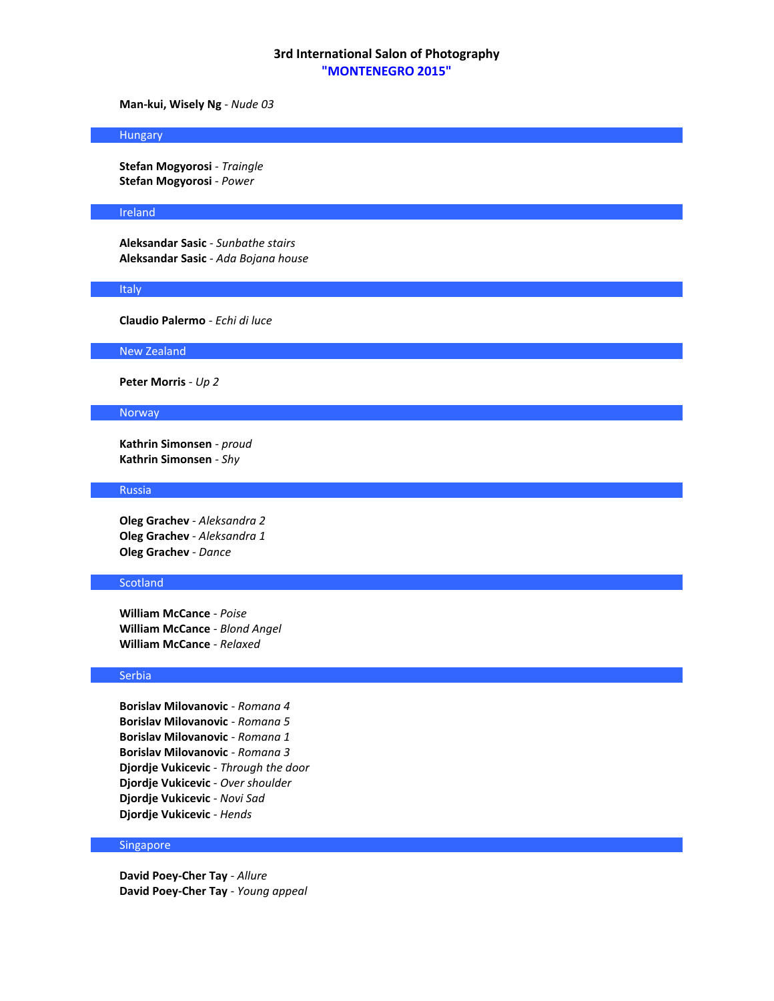**Man-kui, Wisely Ng** - *Nude 03*

#### Hungary

**Stefan Mogyorosi** - *Traingle* **Stefan Mogyorosi** - *Power*

#### Ireland

**Aleksandar Sasic** - *Sunbathe stairs* **Aleksandar Sasic** - *Ada Bojana house*

#### **Italy**

**Claudio Palermo** - *Echi di luce*

New Zealand

**Peter Morris** - *Up 2*

### Norway

**Kathrin Simonsen** - *proud* **Kathrin Simonsen** - *Shy*

#### Russia

**Oleg Grachev** - *Aleksandra 2* **Oleg Grachev** - *Aleksandra 1* **Oleg Grachev** - *Dance*

### **Scotland**

**William McCance** - *Poise* **William McCance** - *Blond Angel* **William McCance** - *Relaxed*

# Serbia

**Borislav Milovanovic** - *Romana 4* **Borislav Milovanovic** - *Romana 5* **Borislav Milovanovic** - *Romana 1* **Borislav Milovanovic** - *Romana 3* **Djordje Vukicevic** - *Through the door* **Djordje Vukicevic** - *Over shoulder* **Djordje Vukicevic** - *Novi Sad* **Djordje Vukicevic** - *Hends*

# Singapore

**David Poey-Cher Tay** - *Allure* **David Poey-Cher Tay** - *Young appeal*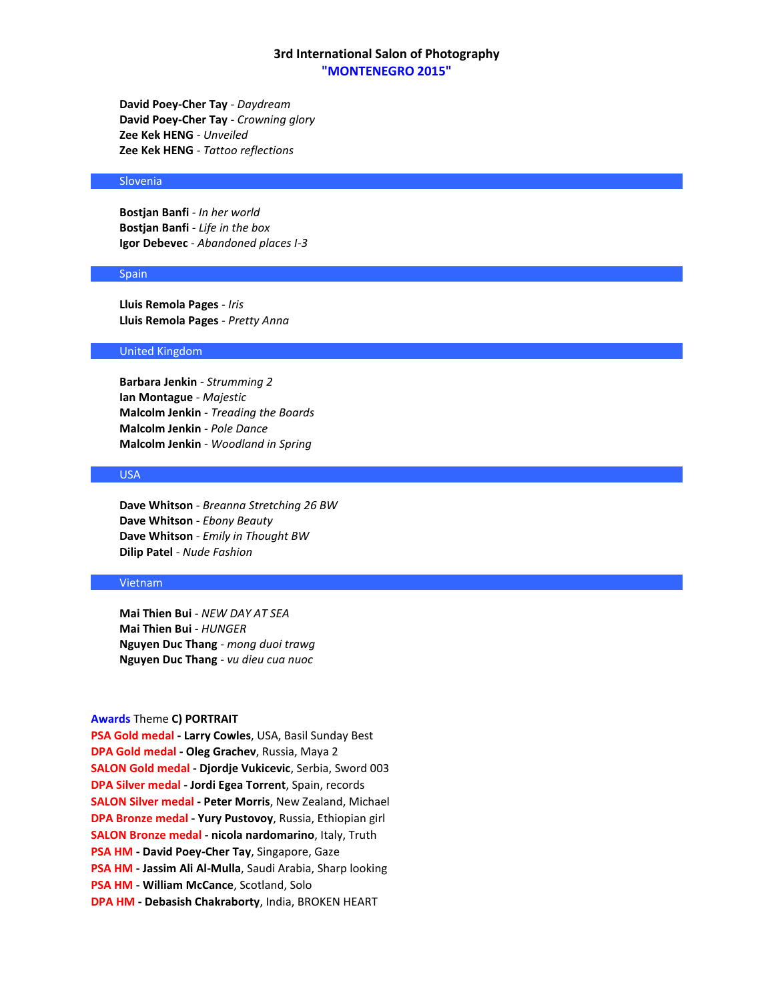**David Poey-Cher Tay** - *Daydream* **David Poey-Cher Tay** - *Crowning glory* **Zee Kek HENG** - *Unveiled* **Zee Kek HENG** - *Tattoo reflections*

## Slovenia

**Bostjan Banfi** - *In her world* **Bostjan Banfi** - *Life in the box* **Igor Debevec** - *Abandoned places I-3*

#### **Spain**

**Lluis Remola Pages** - *Iris* **Lluis Remola Pages** - *Pretty Anna*

## United Kingdom

**Barbara Jenkin** - *Strumming 2* **Ian Montague** - *Majestic* **Malcolm Jenkin** - *Treading the Boards* **Malcolm Jenkin** - *Pole Dance* **Malcolm Jenkin** - *Woodland in Spring*

## USA

**Dave Whitson** - *Breanna Stretching 26 BW* **Dave Whitson** - *Ebony Beauty* **Dave Whitson** - *Emily in Thought BW* **Dilip Patel** - *Nude Fashion*

#### Vietnam

**Mai Thien Bui** - *NEW DAY AT SEA* **Mai Thien Bui** - *HUNGER* **Nguyen Duc Thang** - *mong duoi trawg* **Nguyen Duc Thang** - *vu dieu cua nuoc*

#### **Awards** Theme **C) PORTRAIT**

**PSA Gold medal - Larry Cowles**, USA, Basil Sunday Best **DPA Gold medal - Oleg Grachev**, Russia, Maya 2 **SALON Gold medal - Djordje Vukicevic**, Serbia, Sword 003 **DPA Silver medal - Jordi Egea Torrent**, Spain, records **SALON Silver medal - Peter Morris**, New Zealand, Michael **DPA Bronze medal - Yury Pustovoy**, Russia, Ethiopian girl **SALON Bronze medal - nicola nardomarino**, Italy, Truth **PSA HM - David Poey-Cher Tay**, Singapore, Gaze **PSA HM - Jassim Ali Al-Mulla**, Saudi Arabia, Sharp looking **PSA HM - William McCance**, Scotland, Solo **DPA HM - Debasish Chakraborty**, India, BROKEN HEART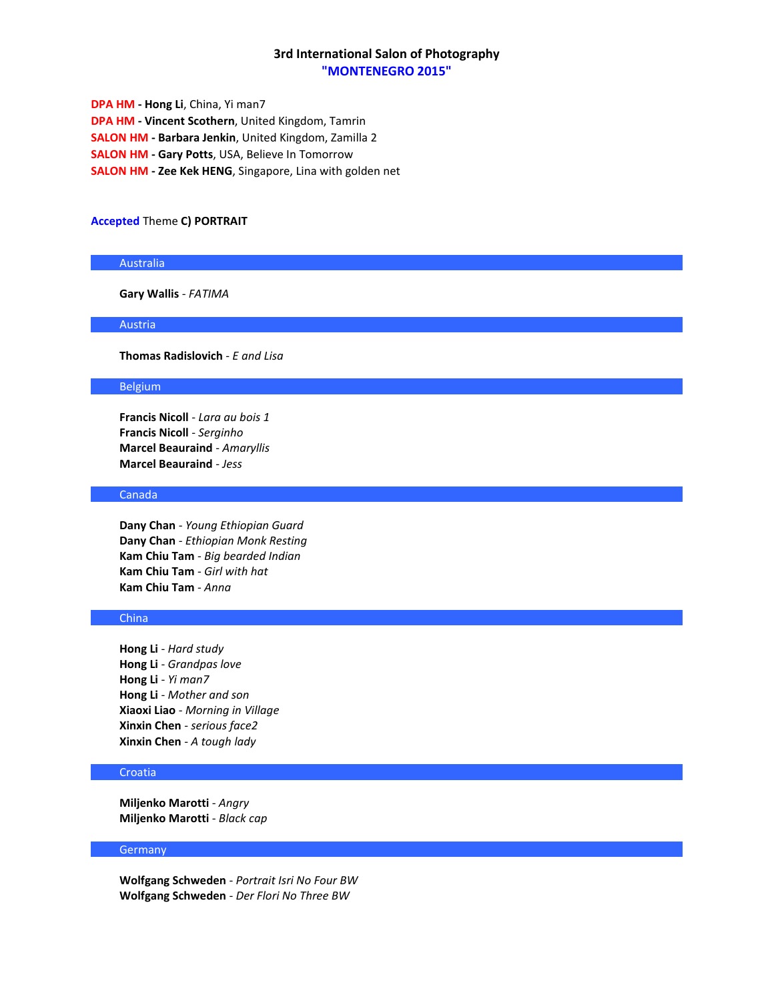**DPA HM - Hong Li**, China, Yi man7 **DPA HM - Vincent Scothern**, United Kingdom, Tamrin **SALON HM - Barbara Jenkin**, United Kingdom, Zamilla 2 **SALON HM - Gary Potts**, USA, Believe In Tomorrow **SALON HM - Zee Kek HENG**, Singapore, Lina with golden net

### **Accepted** Theme **C) PORTRAIT**

## Australia

**Gary Wallis** - *FATIMA*

# Austria

**Thomas Radislovich** - *E and Lisa*

# Belgium

**Francis Nicoll** - *Lara au bois 1* **Francis Nicoll** - *Serginho* **Marcel Beauraind** - *Amaryllis* **Marcel Beauraind** - *Jess*

## Canada

**Dany Chan** - *Young Ethiopian Guard* **Dany Chan** - *Ethiopian Monk Resting* **Kam Chiu Tam** - *Big bearded Indian* **Kam Chiu Tam** - *Girl with hat* **Kam Chiu Tam** - *Anna*

# China

**Hong Li** - *Hard study* **Hong Li** - *Grandpas love* **Hong Li** - *Yi man7* **Hong Li** - *Mother and son* **Xiaoxi Liao** - *Morning in Village* **Xinxin Chen** - *serious face2* **Xinxin Chen** - *A tough lady*

### Croatia

**Miljenko Marotti** - *Angry* **Miljenko Marotti** - *Black cap*

#### **Germany**

**Wolfgang Schweden** - *Portrait Isri No Four BW* **Wolfgang Schweden** - *Der Flori No Three BW*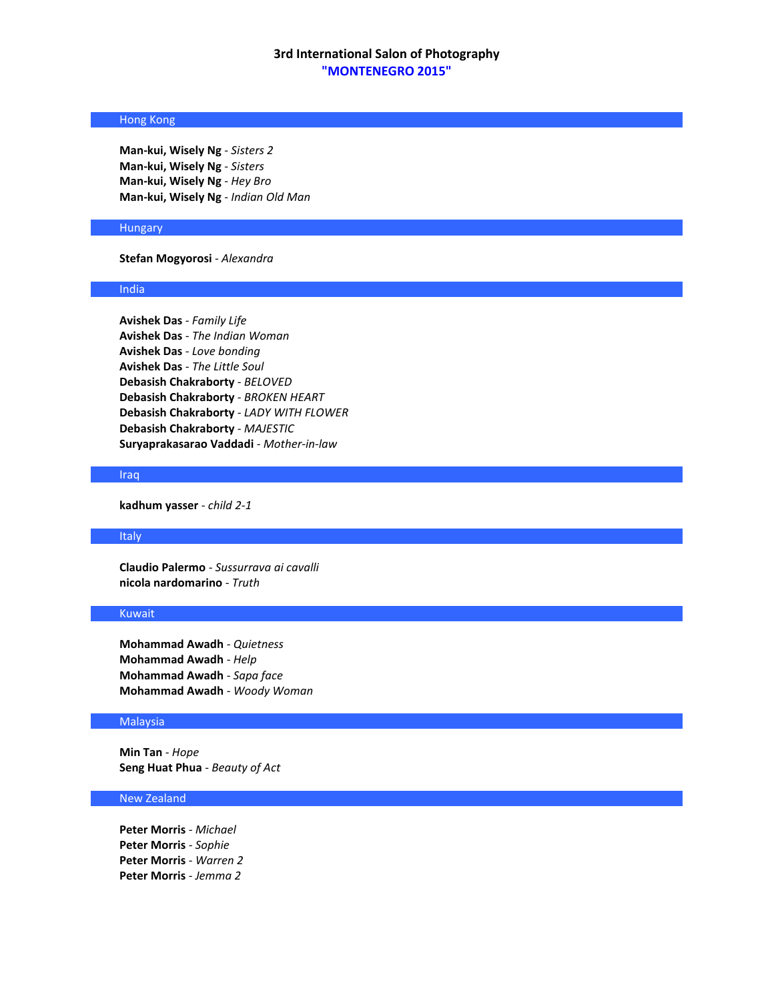# Hong Kong

**Man-kui, Wisely Ng** - *Sisters 2* **Man-kui, Wisely Ng** - *Sisters* **Man-kui, Wisely Ng** - *Hey Bro* **Man-kui, Wisely Ng** - *Indian Old Man*

### Hungary

### **Stefan Mogyorosi** - *Alexandra*

#### India

**Avishek Das** - *Family Life* **Avishek Das** - *The Indian Woman* **Avishek Das** - *Love bonding* **Avishek Das** - *The Little Soul* **Debasish Chakraborty** - *BELOVED* **Debasish Chakraborty** - *BROKEN HEART* **Debasish Chakraborty** - *LADY WITH FLOWER* **Debasish Chakraborty** - *MAJESTIC* **Suryaprakasarao Vaddadi** - *Mother-in-law*

#### Iraq

**kadhum yasser** - *child 2-1*

#### Italy

**Claudio Palermo** - *Sussurrava ai cavalli* **nicola nardomarino** - *Truth*

### Kuwait

**Mohammad Awadh** - *Quietness* **Mohammad Awadh** - *Help* **Mohammad Awadh** - *Sapa face* **Mohammad Awadh** - *Woody Woman*

### Malaysia

**Min Tan** - *Hope* **Seng Huat Phua** - *Beauty of Act*

### New Zealand

**Peter Morris** - *Michael* **Peter Morris** - *Sophie* **Peter Morris** - *Warren 2* **Peter Morris** - *Jemma 2*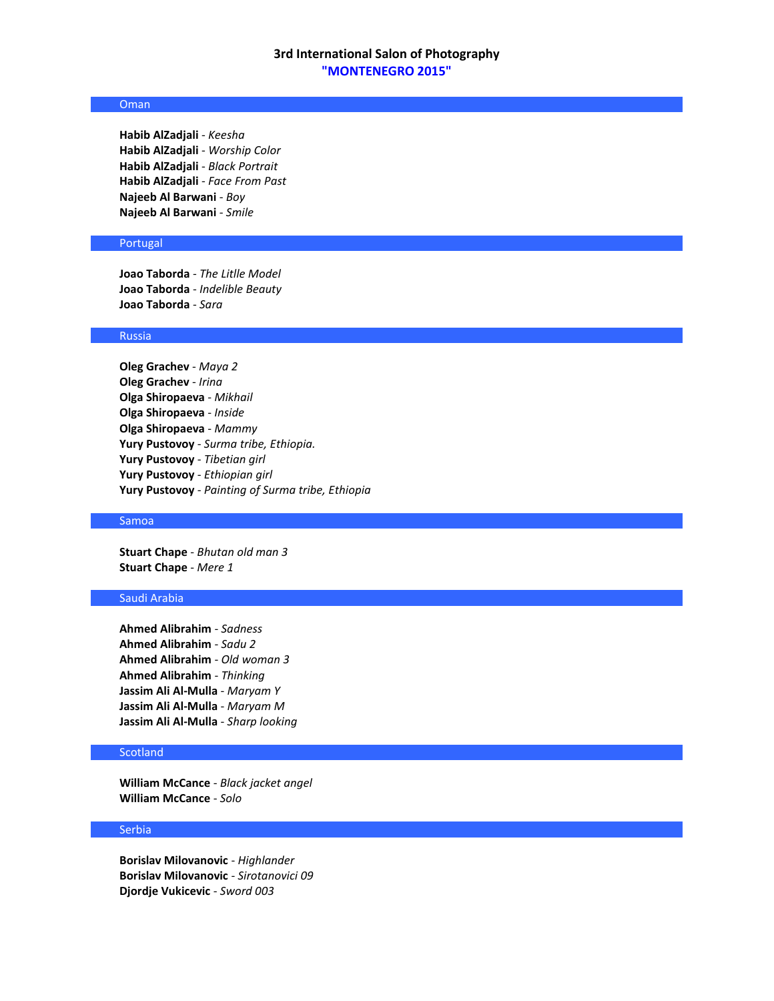# Oman

**Habib AlZadjali** - *Keesha* **Habib AlZadjali** - *Worship Color* **Habib AlZadjali** - *Black Portrait* **Habib AlZadjali** - *Face From Past* **Najeeb Al Barwani** - *Boy* **Najeeb Al Barwani** - *Smile*

# Portugal

**Joao Taborda** - *The Litlle Model* **Joao Taborda** - *Indelible Beauty* **Joao Taborda** - *Sara*

#### Russia

**Oleg Grachev** - *Maya 2* **Oleg Grachev** - *Irina* **Olga Shiropaeva** - *Mikhail* **Olga Shiropaeva** - *Inside* **Olga Shiropaeva** - *Mammy* **Yury Pustovoy** - *Surma tribe, Ethiopia.* **Yury Pustovoy** - *Tibetian girl* **Yury Pustovoy** - *Ethiopian girl* **Yury Pustovoy** - *Painting of Surma tribe, Ethiopia*

### Samoa

**Stuart Chape** - *Bhutan old man 3* **Stuart Chape** - *Mere 1*

# Saudi Arabia

**Ahmed Alibrahim** - *Sadness* **Ahmed Alibrahim** - *Sadu 2* **Ahmed Alibrahim** - *Old woman 3* **Ahmed Alibrahim** - *Thinking* **Jassim Ali Al-Mulla** - *Maryam Y* **Jassim Ali Al-Mulla** - *Maryam M* **Jassim Ali Al-Mulla** - *Sharp looking*

# **Scotland**

**William McCance** - *Black jacket angel* **William McCance** - *Solo*

#### **Serbia**

**Borislav Milovanovic** - *Highlander* **Borislav Milovanovic** - *Sirotanovici 09* **Djordje Vukicevic** - *Sword 003*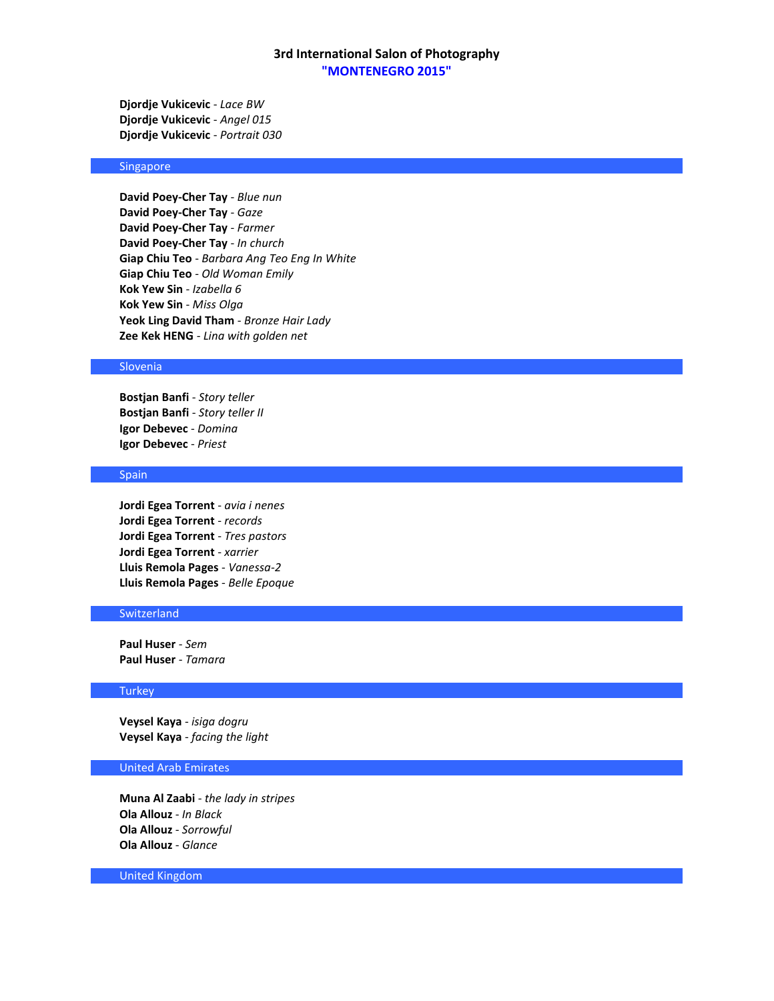**Djordje Vukicevic** - *Lace BW* **Djordje Vukicevic** - *Angel 015* **Djordje Vukicevic** - *Portrait 030*

# Singapore

**David Poey-Cher Tay** - *Blue nun* **David Poey-Cher Tay** - *Gaze* **David Poey-Cher Tay** - *Farmer* **David Poey-Cher Tay** - *In church* **Giap Chiu Teo** - *Barbara Ang Teo Eng In White* **Giap Chiu Teo** - *Old Woman Emily* **Kok Yew Sin** - *Izabella 6* **Kok Yew Sin** - *Miss Olga* **Yeok Ling David Tham** - *Bronze Hair Lady* **Zee Kek HENG** - *Lina with golden net*

### Slovenia

**Bostjan Banfi** - *Story teller* **Bostjan Banfi** - *Story teller II* **Igor Debevec** - *Domina* **Igor Debevec** - *Priest*

#### **Spain**

**Jordi Egea Torrent** - *avia i nenes* **Jordi Egea Torrent** - *records* **Jordi Egea Torrent** - *Tres pastors* **Jordi Egea Torrent** - *xarrier* **Lluis Remola Pages** - *Vanessa-2* **Lluis Remola Pages** - *Belle Epoque*

### **Switzerland**

**Paul Huser** - *Sem* **Paul Huser** - *Tamara*

#### **Turkey**

**Veysel Kaya** - *isiga dogru* **Veysel Kaya** - *facing the light*

### United Arab Emirates

**Muna Al Zaabi** - *the lady in stripes* **Ola Allouz** - *In Black* **Ola Allouz** - *Sorrowful* **Ola Allouz** - *Glance*

United Kingdom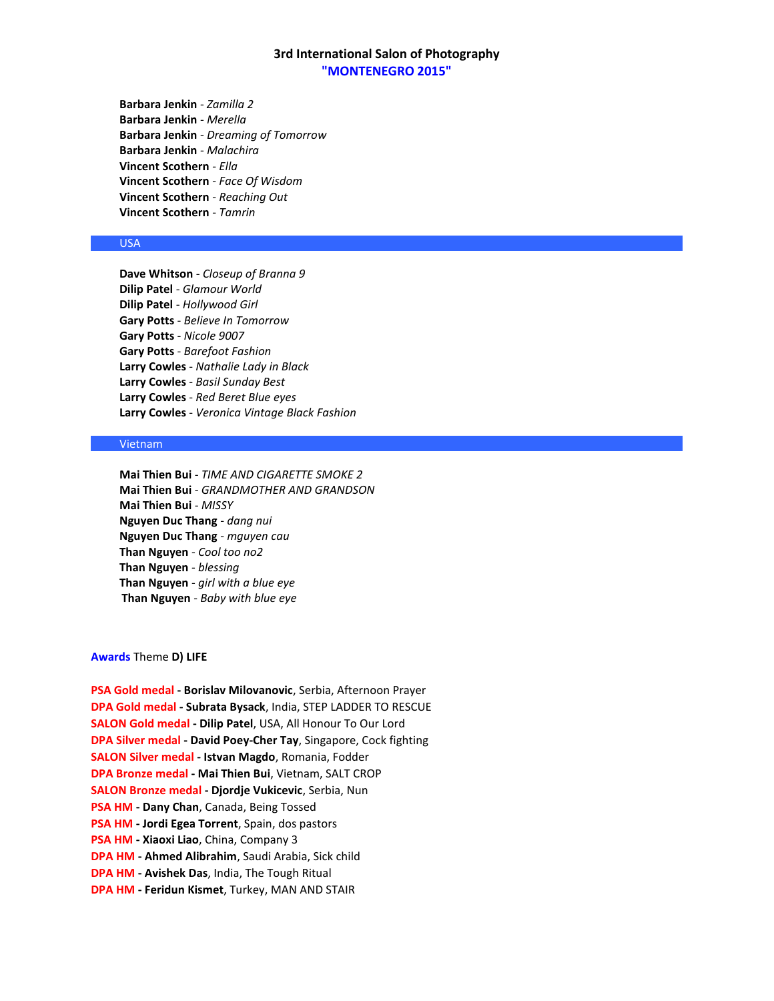**Barbara Jenkin** - *Zamilla 2* **Barbara Jenkin** - *Merella* **Barbara Jenkin** - *Dreaming of Tomorrow* **Barbara Jenkin** - *Malachira* **Vincent Scothern** - *Ella* **Vincent Scothern** - *Face Of Wisdom* **Vincent Scothern** - *Reaching Out* **Vincent Scothern** - *Tamrin*

# USA

**Dave Whitson** - *Closeup of Branna 9* **Dilip Patel** - *Glamour World* **Dilip Patel** - *Hollywood Girl* **Gary Potts** - *Believe In Tomorrow* **Gary Potts** - *Nicole 9007* **Gary Potts** - *Barefoot Fashion* **Larry Cowles** - *Nathalie Lady in Black* **Larry Cowles** - *Basil Sunday Best* **Larry Cowles** - *Red Beret Blue eyes* **Larry Cowles** - *Veronica Vintage Black Fashion*

## Vietnam

**Mai Thien Bui** - *TIME AND CIGARETTE SMOKE 2* **Mai Thien Bui** - *GRANDMOTHER AND GRANDSON* **Mai Thien Bui** - *MISSY* **Nguyen Duc Thang** - *dang nui* **Nguyen Duc Thang** - *mguyen cau* **Than Nguyen** - *Cool too no2* **Than Nguyen** - *blessing* **Than Nguyen** - *girl with a blue eye* **Than Nguyen** - *Baby with blue eye*

#### **Awards** Theme **D) LIFE**

**PSA Gold medal - Borislav Milovanovic**, Serbia, Afternoon Prayer **DPA Gold medal - Subrata Bysack**, India, STEP LADDER TO RESCUE **SALON Gold medal - Dilip Patel**, USA, All Honour To Our Lord **DPA Silver medal - David Poey-Cher Tay**, Singapore, Cock fighting **SALON Silver medal - Istvan Magdo**, Romania, Fodder **DPA Bronze medal - Mai Thien Bui**, Vietnam, SALT CROP **SALON Bronze medal - Djordje Vukicevic**, Serbia, Nun **PSA HM - Dany Chan**, Canada, Being Tossed **PSA HM - Jordi Egea Torrent**, Spain, dos pastors **PSA HM - Xiaoxi Liao**, China, Company 3 **DPA HM - Ahmed Alibrahim**, Saudi Arabia, Sick child **DPA HM - Avishek Das**, India, The Tough Ritual **DPA HM - Feridun Kismet**, Turkey, MAN AND STAIR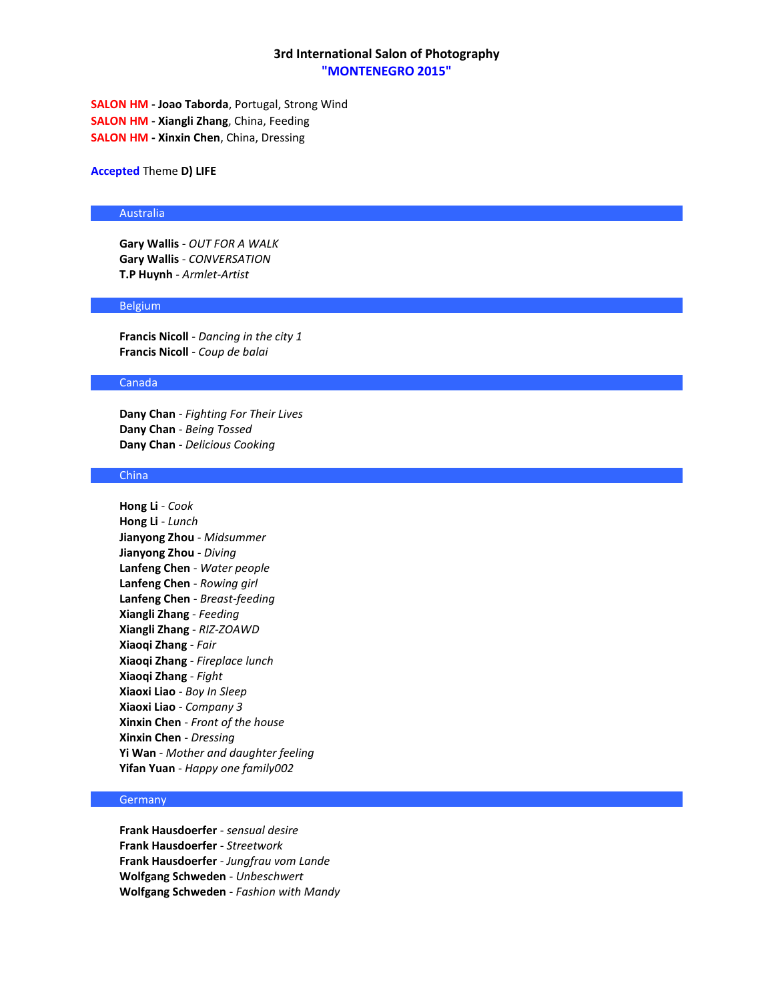**SALON HM - Joao Taborda**, Portugal, Strong Wind **SALON HM - Xiangli Zhang**, China, Feeding **SALON HM - Xinxin Chen**, China, Dressing

**Accepted** Theme **D) LIFE**

#### Australia

**Gary Wallis** - *OUT FOR A WALK* **Gary Wallis** - *CONVERSATION* **T.P Huynh** - *Armlet-Artist*

## Belgium

**Francis Nicoll** - *Dancing in the city 1* **Francis Nicoll** - *Coup de balai*

#### Canada

**Dany Chan** - *Fighting For Their Lives* **Dany Chan** - *Being Tossed* **Dany Chan** - *Delicious Cooking*

#### China

**Hong Li** - *Cook* **Hong Li** - *Lunch* **Jianyong Zhou** - *Midsummer* **Jianyong Zhou** - *Diving* **Lanfeng Chen** - *Water people* **Lanfeng Chen** - *Rowing girl* **Lanfeng Chen** - *Breast-feeding* **Xiangli Zhang** - *Feeding* **Xiangli Zhang** - *RIZ-ZOAWD* **Xiaoqi Zhang** - *Fair* **Xiaoqi Zhang** - *Fireplace lunch* **Xiaoqi Zhang** - *Fight* **Xiaoxi Liao** - *Boy In Sleep* **Xiaoxi Liao** - *Company 3* **Xinxin Chen** - *Front of the house* **Xinxin Chen** - *Dressing* **Yi Wan** - *Mother and daughter feeling* **Yifan Yuan** - *Happy one family002*

#### **Germany**

**Frank Hausdoerfer** - *sensual desire* **Frank Hausdoerfer** - *Streetwork* **Frank Hausdoerfer** - *Jungfrau vom Lande* **Wolfgang Schweden** - *Unbeschwert* **Wolfgang Schweden** - *Fashion with Mandy*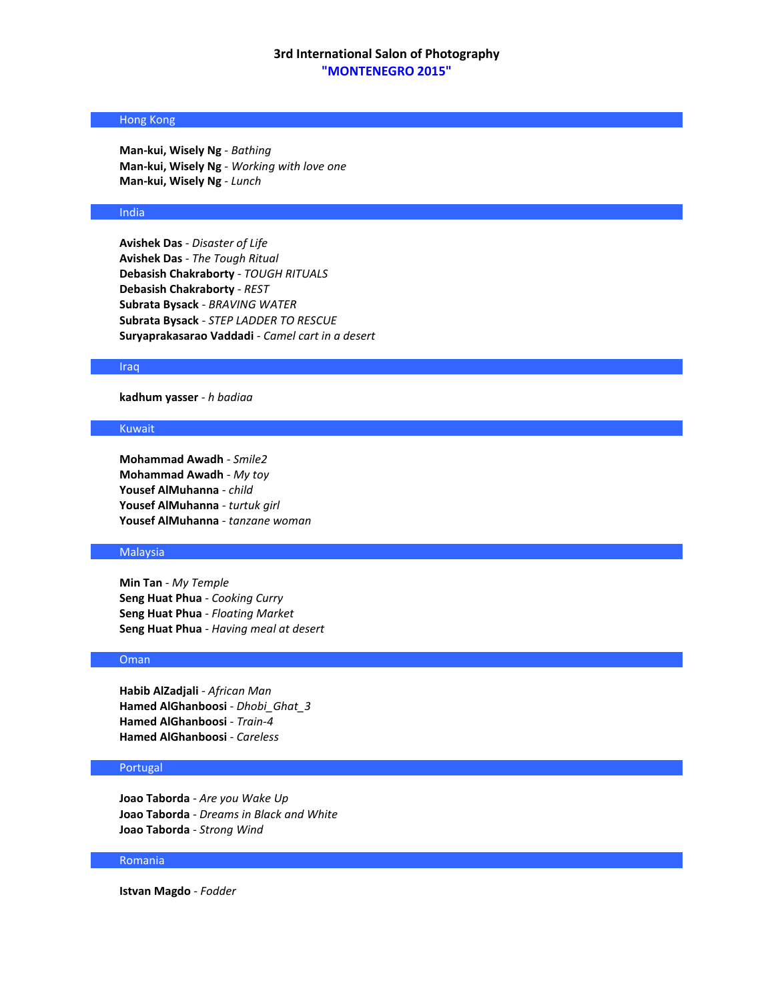# Hong Kong

**Man-kui, Wisely Ng** - *Bathing* **Man-kui, Wisely Ng** - *Working with love one* **Man-kui, Wisely Ng** - *Lunch*

### India

**Avishek Das** - *Disaster of Life* **Avishek Das** - *The Tough Ritual* **Debasish Chakraborty** - *TOUGH RITUALS* **Debasish Chakraborty** - *REST* **Subrata Bysack** - *BRAVING WATER* **Subrata Bysack** - *STEP LADDER TO RESCUE* **Suryaprakasarao Vaddadi** - *Camel cart in a desert*

#### Iraq

**kadhum yasser** - *h badiaa*

# Kuwait

**Mohammad Awadh** - *Smile2* **Mohammad Awadh** - *My toy* **Yousef AlMuhanna** - *child* **Yousef AlMuhanna** - *turtuk girl* **Yousef AlMuhanna** - *tanzane woman*

### Malaysia

**Min Tan** - *My Temple* **Seng Huat Phua** - *Cooking Curry* **Seng Huat Phua** - *Floating Market* **Seng Huat Phua** - *Having meal at desert*

# Oman

**Habib AlZadjali** - *African Man* **Hamed AlGhanboosi** - *Dhobi\_Ghat\_3* **Hamed AlGhanboosi** - *Train-4* **Hamed AlGhanboosi** - *Careless*

## Portugal

**Joao Taborda** - *Are you Wake Up* **Joao Taborda** - *Dreams in Black and White* **Joao Taborda** - *Strong Wind*

### Romania

**Istvan Magdo** - *Fodder*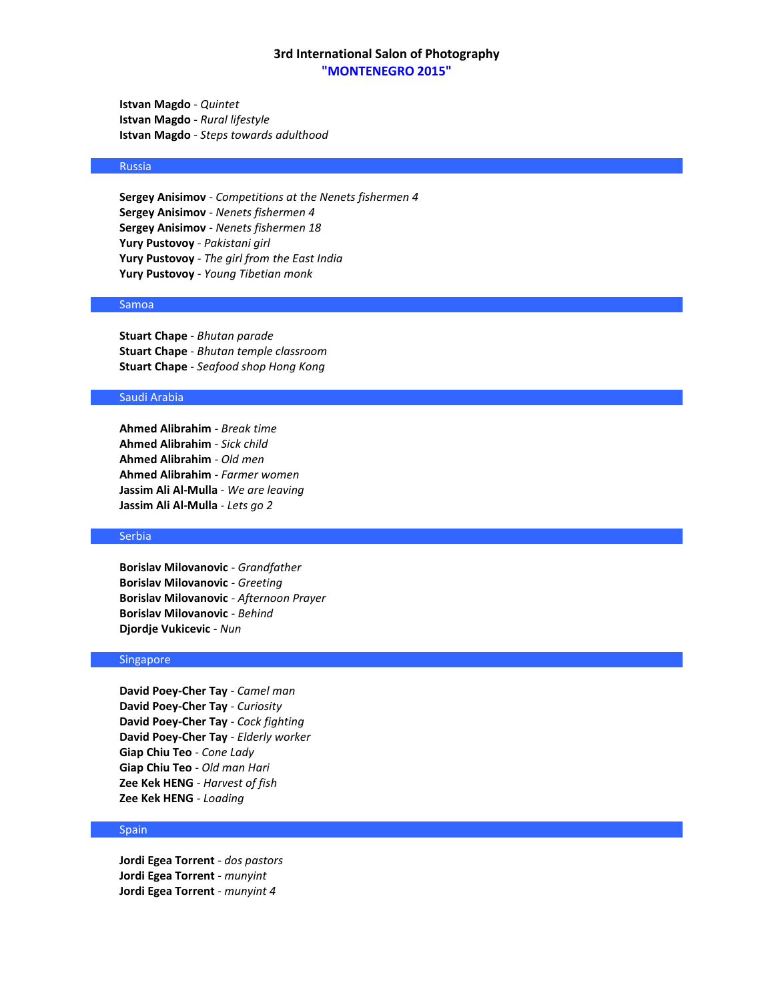**Istvan Magdo** - *Quintet* **Istvan Magdo** - *Rural lifestyle* **Istvan Magdo** - *Steps towards adulthood*

## Russia

**Sergey Anisimov** - *Competitions at the Nenets fishermen 4* **Sergey Anisimov** - *Nenets fishermen 4* **Sergey Anisimov** - *Nenets fishermen 18* **Yury Pustovoy** - *Pakistani girl* **Yury Pustovoy** - *The girl from the East India* **Yury Pustovoy** - *Young Tibetian monk*

# Samoa

**Stuart Chape** - *Bhutan parade* **Stuart Chape** - *Bhutan temple classroom* **Stuart Chape** - *Seafood shop Hong Kong*

## Saudi Arabia

**Ahmed Alibrahim** - *Break time* **Ahmed Alibrahim** - *Sick child* **Ahmed Alibrahim** - *Old men* **Ahmed Alibrahim** - *Farmer women* **Jassim Ali Al-Mulla** - *We are leaving* **Jassim Ali Al-Mulla** - *Lets go 2*

#### Serbia

**Borislav Milovanovic** - *Grandfather* **Borislav Milovanovic** - *Greeting* **Borislav Milovanovic** - *Afternoon Prayer* **Borislav Milovanovic** - *Behind* **Djordje Vukicevic** - *Nun*

#### Singapore

**David Poey-Cher Tay** - *Camel man* **David Poey-Cher Tay** - *Curiosity* **David Poey-Cher Tay** - *Cock fighting* **David Poey-Cher Tay** - *Elderly worker* **Giap Chiu Teo** - *Cone Lady* **Giap Chiu Teo** - *Old man Hari* **Zee Kek HENG** - *Harvest of fish* **Zee Kek HENG** - *Loading*

#### Spain

**Jordi Egea Torrent** - *dos pastors* **Jordi Egea Torrent** - *munyint* **Jordi Egea Torrent** - *munyint 4*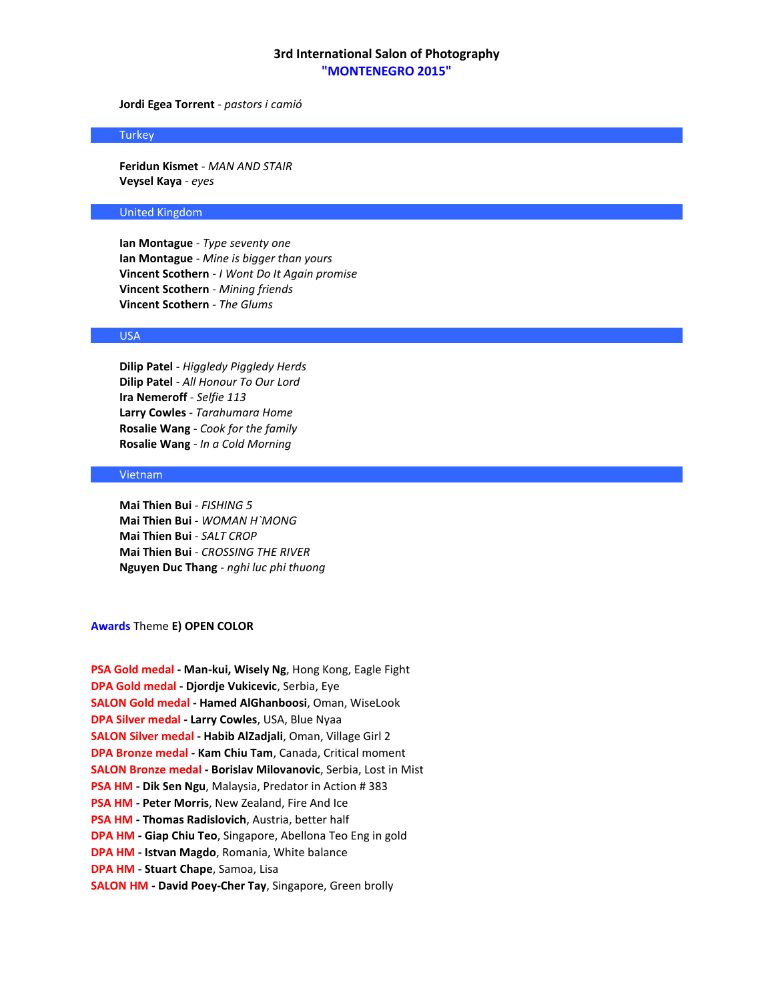**Jordi Egea Torrent** - *pastors i camió*

### **Turkey**

**Feridun Kismet** - *MAN AND STAIR* **Veysel Kaya** - *eyes*

### United Kingdom

**Ian Montague** - *Type seventy one* **Ian Montague** - *Mine is bigger than yours* **Vincent Scothern** - *I Wont Do It Again promise* **Vincent Scothern** - *Mining friends* **Vincent Scothern** - *The Glums*

### USA

**Dilip Patel** - *Higgledy Piggledy Herds* **Dilip Patel** - *All Honour To Our Lord* **Ira Nemeroff** - *Selfie 113* **Larry Cowles** - *Tarahumara Home* **Rosalie Wang** - *Cook for the family* **Rosalie Wang** - *In a Cold Morning*

# Vietnam

**Mai Thien Bui** - *FISHING 5* **Mai Thien Bui** - *WOMAN H`MONG* **Mai Thien Bui** - *SALT CROP* **Mai Thien Bui** - *CROSSING THE RIVER* **Nguyen Duc Thang** - *nghi luc phi thuong*

**Awards** Theme **E) OPEN COLOR** 

| PSA Gold medal - Man-kui, Wisely Ng, Hong Kong, Eagle Fight            |
|------------------------------------------------------------------------|
| <b>DPA Gold medal - Diordie Vukicevic, Serbia, Eye</b>                 |
| <b>SALON Gold medal - Hamed AlGhanboosi</b> , Oman, WiseLook           |
| DPA Silver medal - Larry Cowles, USA, Blue Nyaa                        |
| <b>SALON Silver medal - Habib AlZadiali, Oman, Village Girl 2</b>      |
| <b>DPA Bronze medal - Kam Chiu Tam, Canada, Critical moment</b>        |
| <b>SALON Bronze medal - Borislav Milovanovic, Serbia, Lost in Mist</b> |
| <b>PSA HM - Dik Sen Ngu, Malaysia, Predator in Action #383</b>         |
| <b>PSA HM - Peter Morris, New Zealand, Fire And Ice</b>                |
| <b>PSA HM - Thomas Radislovich, Austria, better half</b>               |
| DPA HM - Giap Chiu Teo, Singapore, Abellona Teo Eng in gold            |
| <b>DPA HM - Istvan Magdo, Romania, White balance</b>                   |
| DPA HM - Stuart Chape, Samoa, Lisa                                     |
| <b>SALON HM - David Poey-Cher Tay, Singapore, Green brolly</b>         |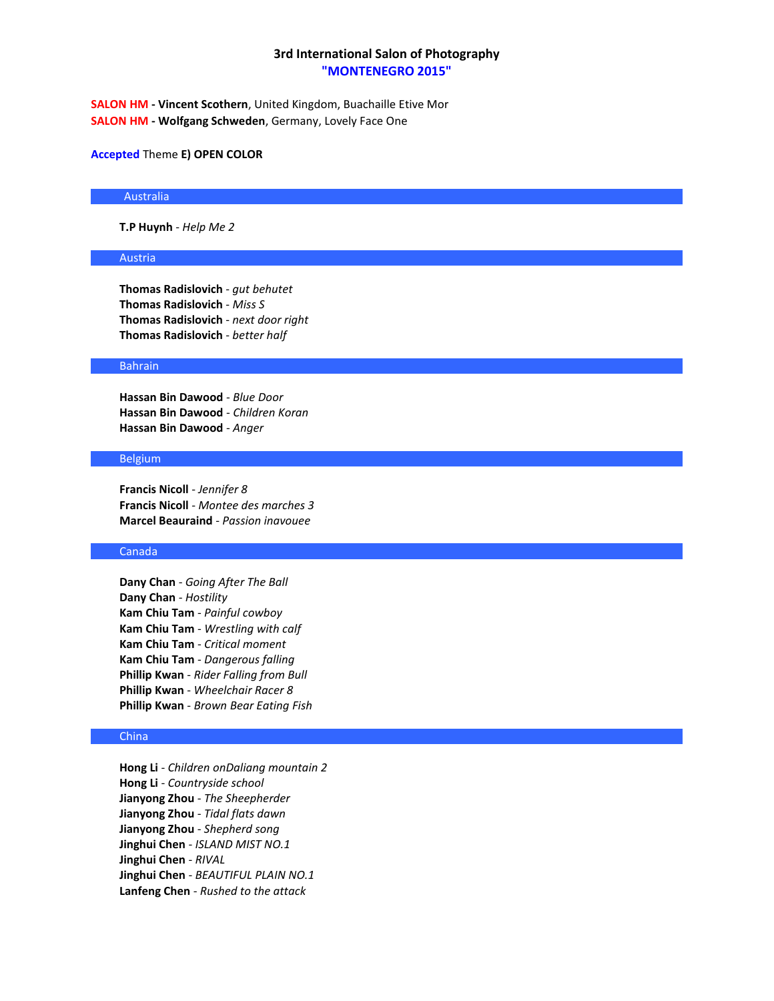**SALON HM - Vincent Scothern**, United Kingdom, Buachaille Etive Mor **SALON HM - Wolfgang Schweden**, Germany, Lovely Face One

### **Accepted** Theme **E) OPEN COLOR**

#### Australia

**T.P Huynh** - *Help Me 2*

### Austria

**Thomas Radislovich** - *gut behutet* **Thomas Radislovich** - *Miss S* **Thomas Radislovich** - *next door right* **Thomas Radislovich** - *better half*

#### Bahrain

**Hassan Bin Dawood** - *Blue Door* **Hassan Bin Dawood** - *Children Koran* **Hassan Bin Dawood** - *Anger*

# Belgium

**Francis Nicoll** - *Jennifer 8* **Francis Nicoll** - *Montee des marches 3* **Marcel Beauraind** - *Passion inavouee*

### Canada

**Dany Chan** - *Going After The Ball* **Dany Chan** - *Hostility* **Kam Chiu Tam** - *Painful cowboy* **Kam Chiu Tam** - *Wrestling with calf* **Kam Chiu Tam** - *Critical moment* **Kam Chiu Tam** - *Dangerous falling* **Phillip Kwan** - *Rider Falling from Bull* **Phillip Kwan** - *Wheelchair Racer 8* **Phillip Kwan** - *Brown Bear Eating Fish*

#### China

**Hong Li** - *Children onDaliang mountain 2* **Hong Li** - *Countryside school* **Jianyong Zhou** - *The Sheepherder* **Jianyong Zhou** - *Tidal flats dawn* **Jianyong Zhou** - *Shepherd song* **Jinghui Chen** - *ISLAND MIST NO.1* **Jinghui Chen** - *RIVAL* **Jinghui Chen** - *BEAUTIFUL PLAIN NO.1* **Lanfeng Chen** - *Rushed to the attack*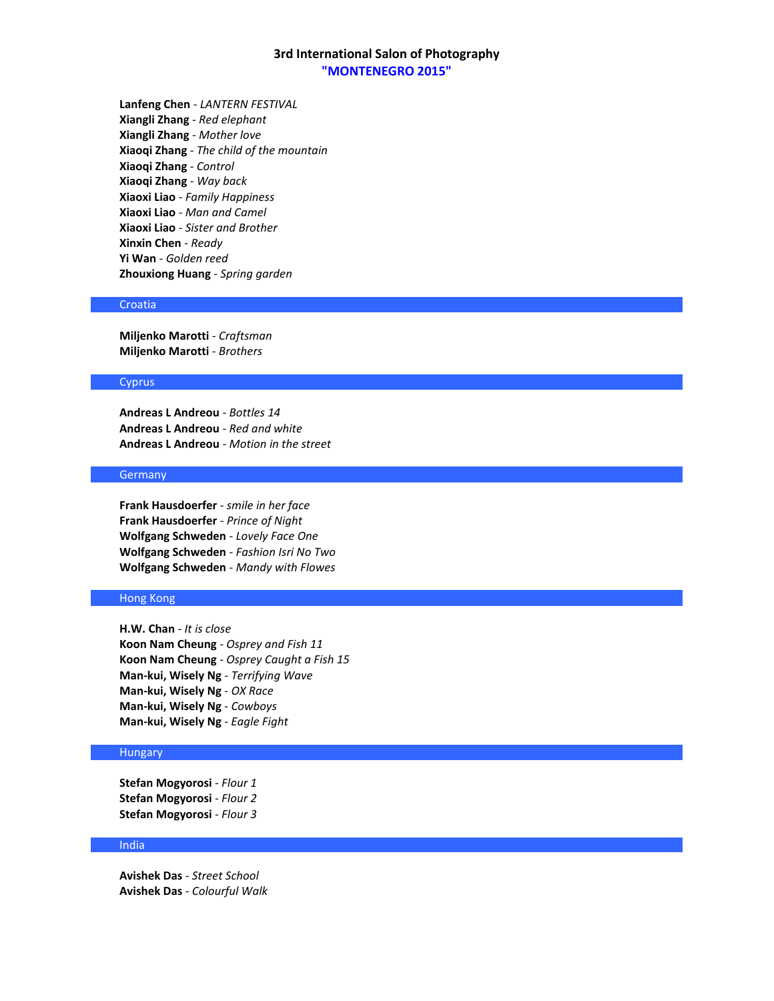**Lanfeng Chen** - *LANTERN FESTIVAL* **Xiangli Zhang** - *Red elephant* **Xiangli Zhang** - *Mother love* **Xiaoqi Zhang** - *The child of the mountain* **Xiaoqi Zhang** - *Control* **Xiaoqi Zhang** - *Way back* **Xiaoxi Liao** - *Family Happiness* **Xiaoxi Liao** - *Man and Camel* **Xiaoxi Liao** - *Sister and Brother* **Xinxin Chen** - *Ready* **Yi Wan** - *Golden reed* **Zhouxiong Huang** - *Spring garden*

# Croatia

**Miljenko Marotti** - *Craftsman* **Miljenko Marotti** - *Brothers*

### **Cyprus**

**Andreas L Andreou** - *Bottles 14* **Andreas L Andreou** - *Red and white* **Andreas L Andreou** - *Motion in the street*

# **Germany**

**Frank Hausdoerfer** - *smile in her face* **Frank Hausdoerfer** - *Prince of Night* **Wolfgang Schweden** - *Lovely Face One* **Wolfgang Schweden** - *Fashion Isri No Two* **Wolfgang Schweden** - *Mandy with Flowes*

# Hong Kong

**H.W. Chan** - *It is close* **Koon Nam Cheung** - *Osprey and Fish 11* **Koon Nam Cheung** - *Osprey Caught a Fish 15* **Man-kui, Wisely Ng** - *Terrifying Wave* **Man-kui, Wisely Ng** - *OX Race* **Man-kui, Wisely Ng** - *Cowboys* **Man-kui, Wisely Ng** - *Eagle Fight*

# Hungary

**Stefan Mogyorosi** - *Flour 1* **Stefan Mogyorosi** - *Flour 2* **Stefan Mogyorosi** - *Flour 3*

#### India

**Avishek Das** - *Street School* **Avishek Das** - *Colourful Walk*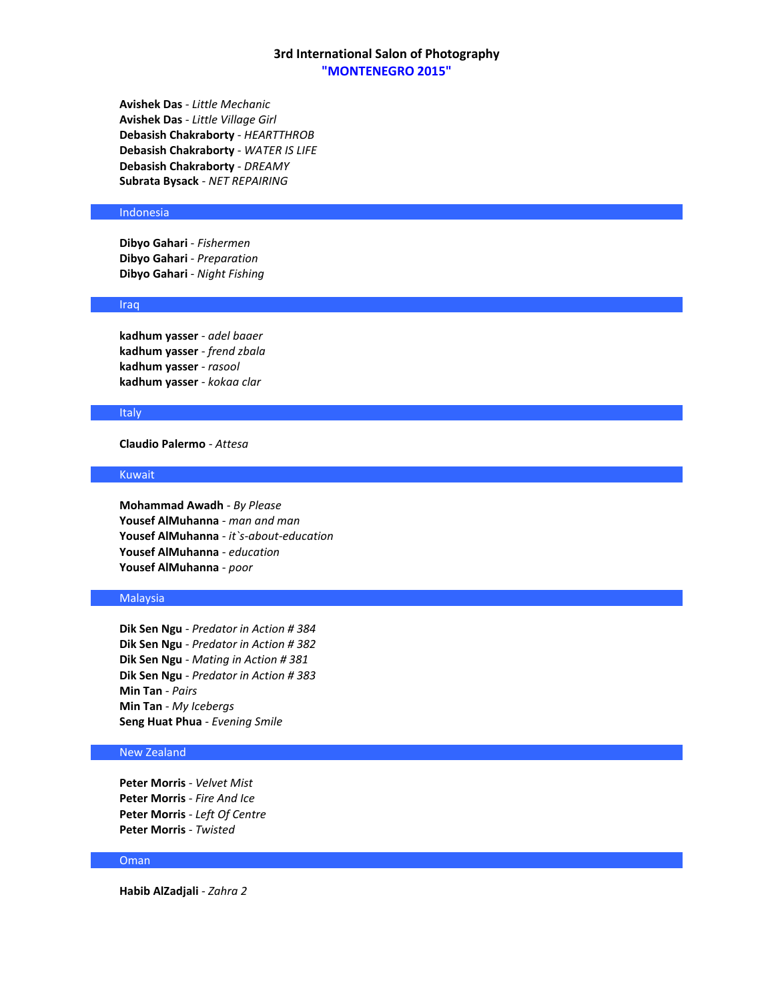**Avishek Das** - *Little Mechanic* **Avishek Das** - *Little Village Girl* **Debasish Chakraborty** - *HEARTTHROB* **Debasish Chakraborty** - *WATER IS LIFE* **Debasish Chakraborty** - *DREAMY* **Subrata Bysack** - *NET REPAIRING*

#### Indonesia

**Dibyo Gahari** - *Fishermen* **Dibyo Gahari** - *Preparation* **Dibyo Gahari** - *Night Fishing*

# Iraq

**kadhum yasser** - *adel baaer* **kadhum yasser** - *frend zbala* **kadhum yasser** - *rasool* **kadhum yasser** - *kokaa clar*

#### **Italy**

**Claudio Palermo** - *Attesa*

### Kuwait

**Mohammad Awadh** - *By Please* **Yousef AlMuhanna** - *man and man* **Yousef AlMuhanna** - *it`s-about-education* **Yousef AlMuhanna** - *education* **Yousef AlMuhanna** - *poor*

# Malaysia

**Dik Sen Ngu** - *Predator in Action # 384* **Dik Sen Ngu** - *Predator in Action # 382* **Dik Sen Ngu** - *Mating in Action # 381* **Dik Sen Ngu** - *Predator in Action # 383* **Min Tan** - *Pairs* **Min Tan** - *My Icebergs* **Seng Huat Phua** - *Evening Smile*

# New Zealand

**Peter Morris** - *Velvet Mist* **Peter Morris** - *Fire And Ice* **Peter Morris** - *Left Of Centre* **Peter Morris** - *Twisted*

#### Oman

**Habib AlZadjali** - *Zahra 2*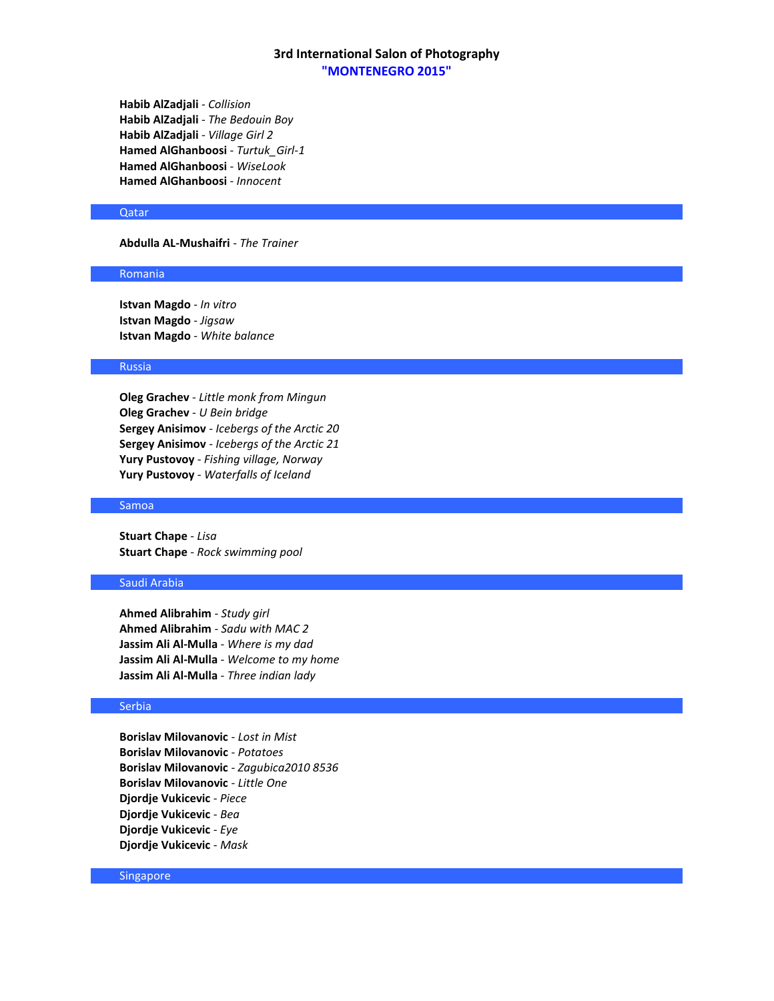**Habib AlZadjali** - *Collision* **Habib AlZadjali** - *The Bedouin Boy* **Habib AlZadjali** - *Village Girl 2* **Hamed AlGhanboosi** - *Turtuk\_Girl-1* **Hamed AlGhanboosi** - *WiseLook* **Hamed AlGhanboosi** - *Innocent*

### Qatar

**Abdulla AL-Mushaifri** - *The Trainer*

#### Romania

**Istvan Magdo** - *In vitro* **Istvan Magdo** - *Jigsaw* **Istvan Magdo** - *White balance*

## Russia

**Oleg Grachev** - *Little monk from Mingun* **Oleg Grachev** - *U Bein bridge* **Sergey Anisimov** - *Icebergs of the Arctic 20* **Sergey Anisimov** - *Icebergs of the Arctic 21* **Yury Pustovoy** - *Fishing village, Norway* **Yury Pustovoy** - *Waterfalls of Iceland*

#### Samoa

**Stuart Chape** - *Lisa* **Stuart Chape** - *Rock swimming pool*

### Saudi Arabia

**Ahmed Alibrahim** - *Study girl* **Ahmed Alibrahim** - *Sadu with MAC 2* **Jassim Ali Al-Mulla** - *Where is my dad* **Jassim Ali Al-Mulla** - *Welcome to my home* **Jassim Ali Al-Mulla** - *Three indian lady*

### Serbia

**Borislav Milovanovic** - *Lost in Mist* **Borislav Milovanovic** - *Potatoes* **Borislav Milovanovic** - *Zagubica2010 8536* **Borislav Milovanovic** - *Little One* **Djordje Vukicevic** - *Piece* **Djordje Vukicevic** - *Bea* **Djordje Vukicevic** - *Eye* **Djordje Vukicevic** - *Mask*

# Singapore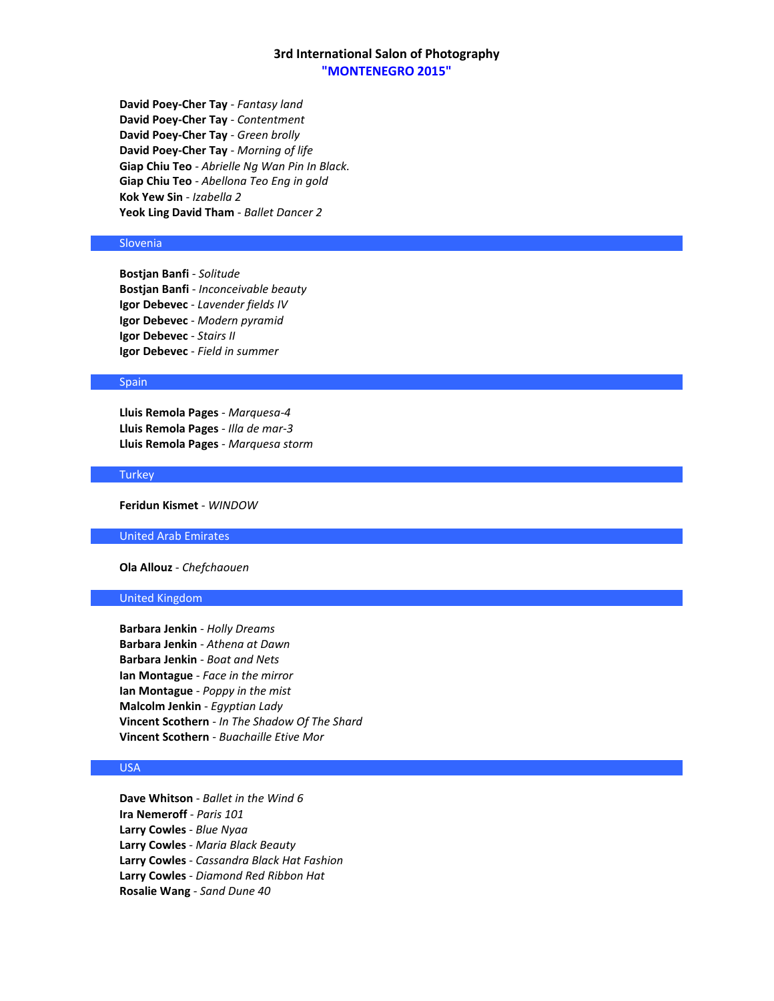**David Poey-Cher Tay** - *Fantasy land* **David Poey-Cher Tay** - *Contentment* **David Poey-Cher Tay** - *Green brolly* **David Poey-Cher Tay** - *Morning of life* **Giap Chiu Teo** - *Abrielle Ng Wan Pin In Black.* **Giap Chiu Teo** - *Abellona Teo Eng in gold* **Kok Yew Sin** - *Izabella 2* **Yeok Ling David Tham** - *Ballet Dancer 2*

# Slovenia

**Bostjan Banfi** - *Solitude* **Bostjan Banfi** - *Inconceivable beauty* **Igor Debevec** - *Lavender fields IV* **Igor Debevec** - *Modern pyramid* **Igor Debevec** - *Stairs II* **Igor Debevec** - *Field in summer*

### Spain

**Lluis Remola Pages** - *Marquesa-4* **Lluis Remola Pages** - *Illa de mar-3* **Lluis Remola Pages** - *Marquesa storm*

#### **Turkey**

**Feridun Kismet** - *WINDOW*

United Arab Emirates

**Ola Allouz** - *Chefchaouen*

### United Kingdom

**Barbara Jenkin** - *Holly Dreams* **Barbara Jenkin** - *Athena at Dawn* **Barbara Jenkin** - *Boat and Nets* **Ian Montague** - *Face in the mirror* **Ian Montague** - *Poppy in the mist* **Malcolm Jenkin** - *Egyptian Lady* **Vincent Scothern** - *In The Shadow Of The Shard* **Vincent Scothern** - *Buachaille Etive Mor*

# USA

**Dave Whitson** - *Ballet in the Wind 6* **Ira Nemeroff** - *Paris 101* **Larry Cowles** - *Blue Nyaa* **Larry Cowles** - *Maria Black Beauty* **Larry Cowles** - *Cassandra Black Hat Fashion* **Larry Cowles** - *Diamond Red Ribbon Hat* **Rosalie Wang** - *Sand Dune 40*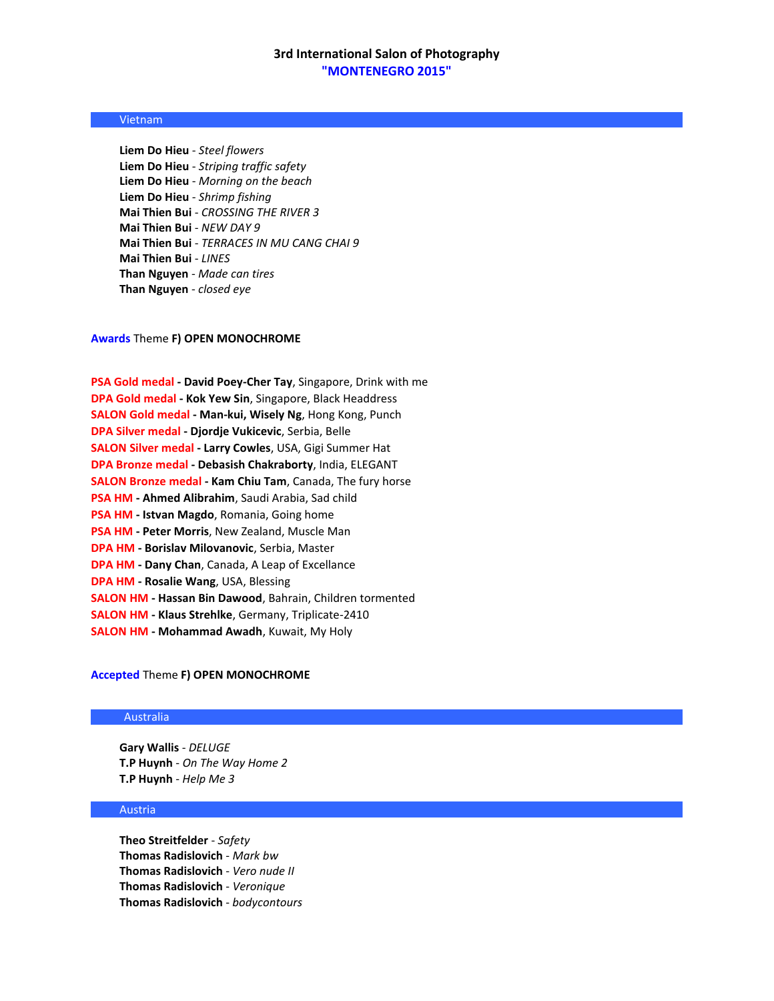## Vietnam

**Liem Do Hieu** - *Steel flowers* **Liem Do Hieu** - *Striping traffic safety* **Liem Do Hieu** - *Morning on the beach* **Liem Do Hieu** - *Shrimp fishing* **Mai Thien Bui** - *CROSSING THE RIVER 3* **Mai Thien Bui** - *NEW DAY 9* **Mai Thien Bui** - *TERRACES IN MU CANG CHAI 9* **Mai Thien Bui** - *LINES* **Than Nguyen** - *Made can tires* **Than Nguyen** - *closed eye*

# **Awards** Theme **F) OPEN MONOCHROME**

| <b>PSA Gold medal - David Poey-Cher Tay, Singapore, Drink with me</b> |
|-----------------------------------------------------------------------|
| <b>DPA Gold medal - Kok Yew Sin, Singapore, Black Headdress</b>       |
| <b>SALON Gold medal - Man-kui, Wisely Ng, Hong Kong, Punch</b>        |
| DPA Silver medal - Djordje Vukicevic, Serbia, Belle                   |
| <b>SALON Silver medal - Larry Cowles, USA, Gigi Summer Hat</b>        |
| <b>DPA Bronze medal - Debasish Chakraborty, India, ELEGANT</b>        |
| SALON Bronze medal - Kam Chiu Tam, Canada, The fury horse             |
| PSA HM - Ahmed Alibrahim, Saudi Arabia, Sad child                     |
| <b>PSA HM - Istvan Magdo, Romania, Going home</b>                     |
| <b>PSA HM - Peter Morris, New Zealand, Muscle Man</b>                 |
| <b>DPA HM - Borislav Milovanovic, Serbia, Master</b>                  |
| <b>DPA HM - Dany Chan, Canada, A Leap of Excellance</b>               |
| <b>DPA HM - Rosalie Wang, USA, Blessing</b>                           |
| SALON HM - Hassan Bin Dawood, Bahrain, Children tormented             |
| <b>SALON HM - Klaus Strehlke, Germany, Triplicate-2410</b>            |
| <b>SALON HM - Mohammad Awadh, Kuwait, My Holy</b>                     |

### **Accepted** Theme **F) OPEN MONOCHROME**

### Australia

**Gary Wallis** - *DELUGE* **T.P Huynh** - *On The Way Home 2* **T.P Huynh** - *Help Me 3*

## Austria

**Theo Streitfelder** - *Safety* **Thomas Radislovich** - *Mark bw* **Thomas Radislovich** - *Vero nude II* **Thomas Radislovich** - *Veronique* **Thomas Radislovich** - *bodycontours*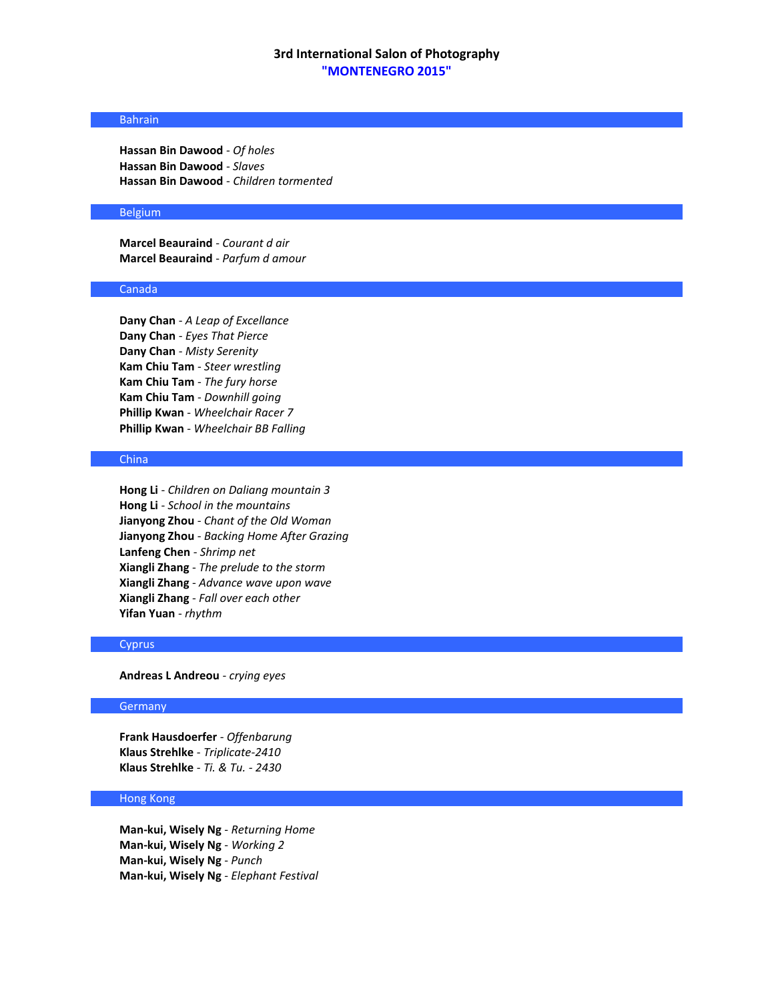### Bahrain

**Hassan Bin Dawood** - *Of holes* **Hassan Bin Dawood** - *Slaves* **Hassan Bin Dawood** - *Children tormented*

### Belgium

**Marcel Beauraind** - *Courant d air* **Marcel Beauraind** - *Parfum d amour*

#### Canada

**Dany Chan** - *A Leap of Excellance* **Dany Chan** - *Eyes That Pierce* **Dany Chan** - *Misty Serenity* **Kam Chiu Tam** - *Steer wrestling* **Kam Chiu Tam** - *The fury horse* **Kam Chiu Tam** - *Downhill going* **Phillip Kwan** - *Wheelchair Racer 7* **Phillip Kwan** - *Wheelchair BB Falling*

### China

**Hong Li** - *Children on Daliang mountain 3* **Hong Li** - *School in the mountains* **Jianyong Zhou** - *Chant of the Old Woman* **Jianyong Zhou** - *Backing Home After Grazing* **Lanfeng Chen** - *Shrimp net* **Xiangli Zhang** - *The prelude to the storm* **Xiangli Zhang** - *Advance wave upon wave* **Xiangli Zhang** - *Fall over each other* **Yifan Yuan** - *rhythm*

### Cyprus

**Andreas L Andreou** - *crying eyes*

### **Germany**

**Frank Hausdoerfer** - *Offenbarung* **Klaus Strehlke** - *Triplicate-2410* **Klaus Strehlke** - *Ti. & Tu. - 2430*

# Hong Kong

**Man-kui, Wisely Ng** - *Returning Home* **Man-kui, Wisely Ng** - *Working 2* **Man-kui, Wisely Ng** - *Punch* **Man-kui, Wisely Ng** - *Elephant Festival*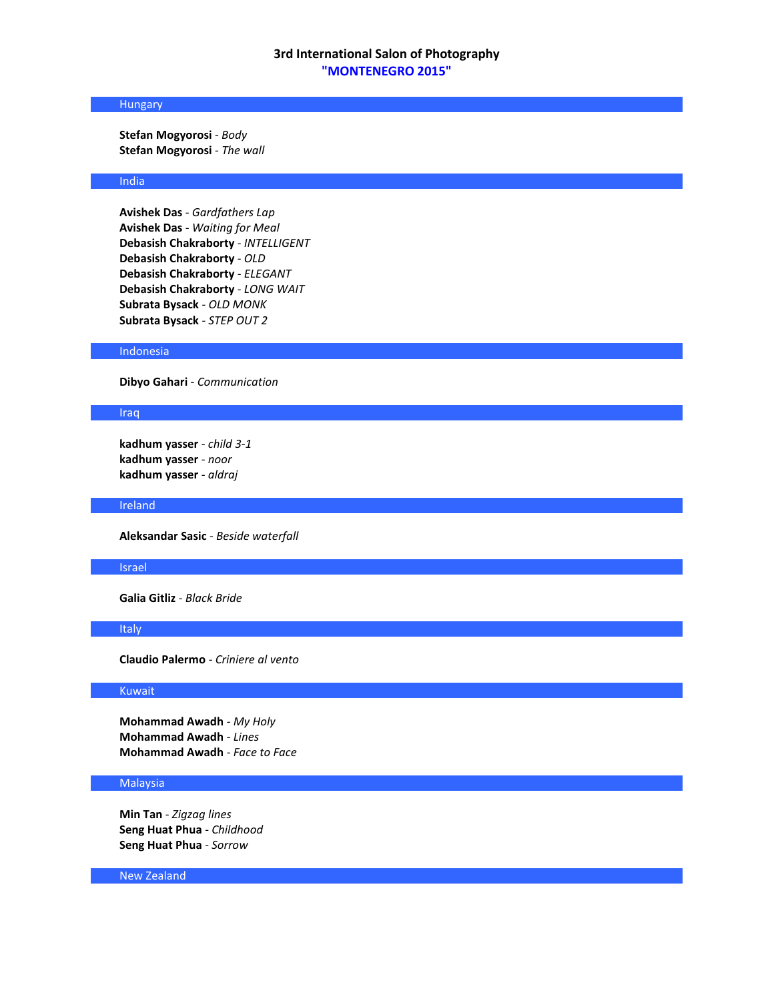# Hungary

**Stefan Mogyorosi** - *Body* **Stefan Mogyorosi** - *The wall*

## India

**Avishek Das** - *Gardfathers Lap* **Avishek Das** - *Waiting for Meal* **Debasish Chakraborty** - *INTELLIGENT* **Debasish Chakraborty** - *OLD* **Debasish Chakraborty** - *ELEGANT* **Debasish Chakraborty** - *LONG WAIT* **Subrata Bysack** - *OLD MONK* **Subrata Bysack** - *STEP OUT 2*

### Indonesia

**Dibyo Gahari** - *Communication*

#### Iraq

**kadhum yasser** - *child 3-1* **kadhum yasser** - *noor* **kadhum yasser** - *aldraj*

### Ireland

**Aleksandar Sasic** - *Beside waterfall*

#### Israel

**Galia Gitliz** - *Black Bride*

#### Italy

**Claudio Palermo** - *Criniere al vento*

#### Kuwait

**Mohammad Awadh** - *My Holy* **Mohammad Awadh** - *Lines* **Mohammad Awadh** - *Face to Face*

#### **Malaysia**

**Min Tan** - *Zigzag lines* **Seng Huat Phua** - *Childhood* **Seng Huat Phua** - *Sorrow*

New Zealand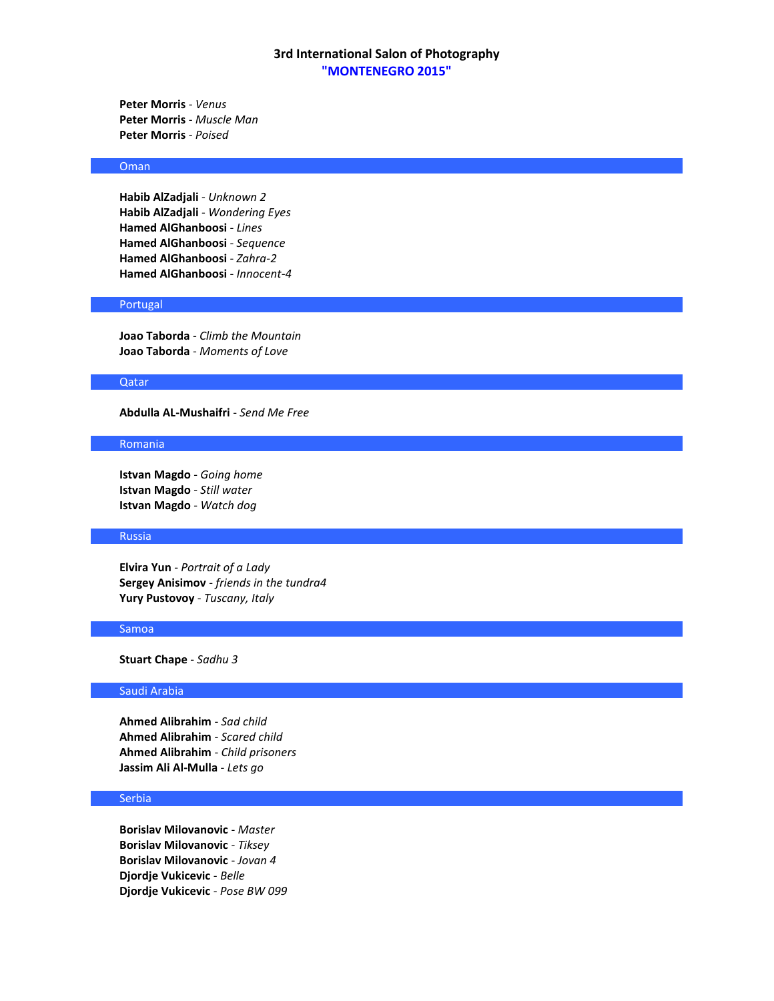**Peter Morris** - *Venus* **Peter Morris** - *Muscle Man* **Peter Morris** - *Poised*

### Oman

**Habib AlZadjali** - *Unknown 2* **Habib AlZadjali** - *Wondering Eyes* **Hamed AlGhanboosi** - *Lines* **Hamed AlGhanboosi** - *Sequence* **Hamed AlGhanboosi** - *Zahra-2* **Hamed AlGhanboosi** - *Innocent-4*

# Portugal

**Joao Taborda** - *Climb the Mountain* **Joao Taborda** - *Moments of Love*

### Qatar

**Abdulla AL-Mushaifri** - *Send Me Free*

#### Romania

**Istvan Magdo** - *Going home* **Istvan Magdo** - *Still water* **Istvan Magdo** - *Watch dog*

#### Russia

**Elvira Yun** - *Portrait of a Lady* **Sergey Anisimov** - *friends in the tundra4* **Yury Pustovoy** - *Tuscany, Italy*

#### Samoa

**Stuart Chape** - *Sadhu 3*

### Saudi Arabia

**Ahmed Alibrahim** - *Sad child* **Ahmed Alibrahim** - *Scared child* **Ahmed Alibrahim** - *Child prisoners* **Jassim Ali Al-Mulla** - *Lets go*

## Serbia

**Borislav Milovanovic** - *Master* **Borislav Milovanovic** - *Tiksey* **Borislav Milovanovic** - *Jovan 4* **Djordje Vukicevic** - *Belle* **Djordje Vukicevic** - *Pose BW 099*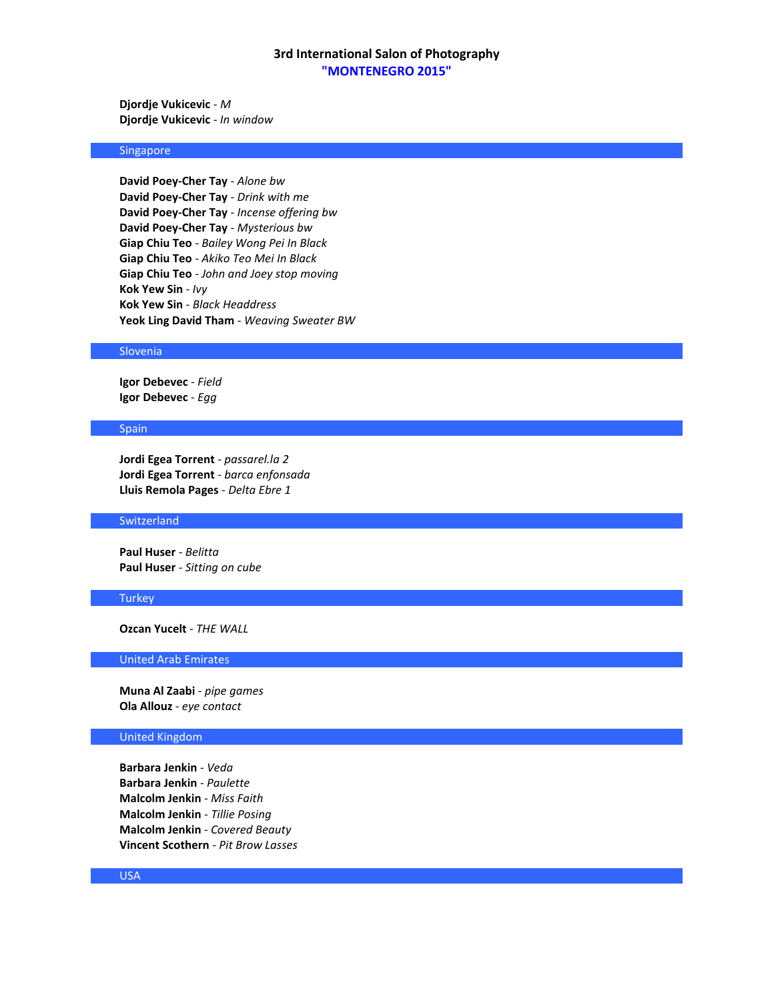**Djordje Vukicevic** - *M* **Djordje Vukicevic** - *In window*

### Singapore

**David Poey-Cher Tay** - *Alone bw* **David Poey-Cher Tay** - *Drink with me* **David Poey-Cher Tay** - *Incense offering bw* **David Poey-Cher Tay** - *Mysterious bw* **Giap Chiu Teo** - *Bailey Wong Pei In Black* **Giap Chiu Teo** - *Akiko Teo Mei In Black* **Giap Chiu Teo** - *John and Joey stop moving* **Kok Yew Sin** - *Ivy* **Kok Yew Sin** - *Black Headdress* **Yeok Ling David Tham** - *Weaving Sweater BW*

#### Slovenia

**Igor Debevec** - *Field* **Igor Debevec** - *Egg*

#### Spain

**Jordi Egea Torrent** - *passarel.la 2* **Jordi Egea Torrent** - *barca enfonsada* **Lluis Remola Pages** - *Delta Ebre 1*

# **Switzerland**

**Paul Huser** - *Belitta* **Paul Huser** - *Sitting on cube*

### **Turkey**

**Ozcan Yucelt** - *THE WALL*

### United Arab Emirates

**Muna Al Zaabi** - *pipe games* **Ola Allouz** - *eye contact*

### United Kingdom

**Barbara Jenkin** - *Veda* **Barbara Jenkin** - *Paulette* **Malcolm Jenkin** - *Miss Faith* **Malcolm Jenkin** - *Tillie Posing* **Malcolm Jenkin** - *Covered Beauty* **Vincent Scothern** - *Pit Brow Lasses*